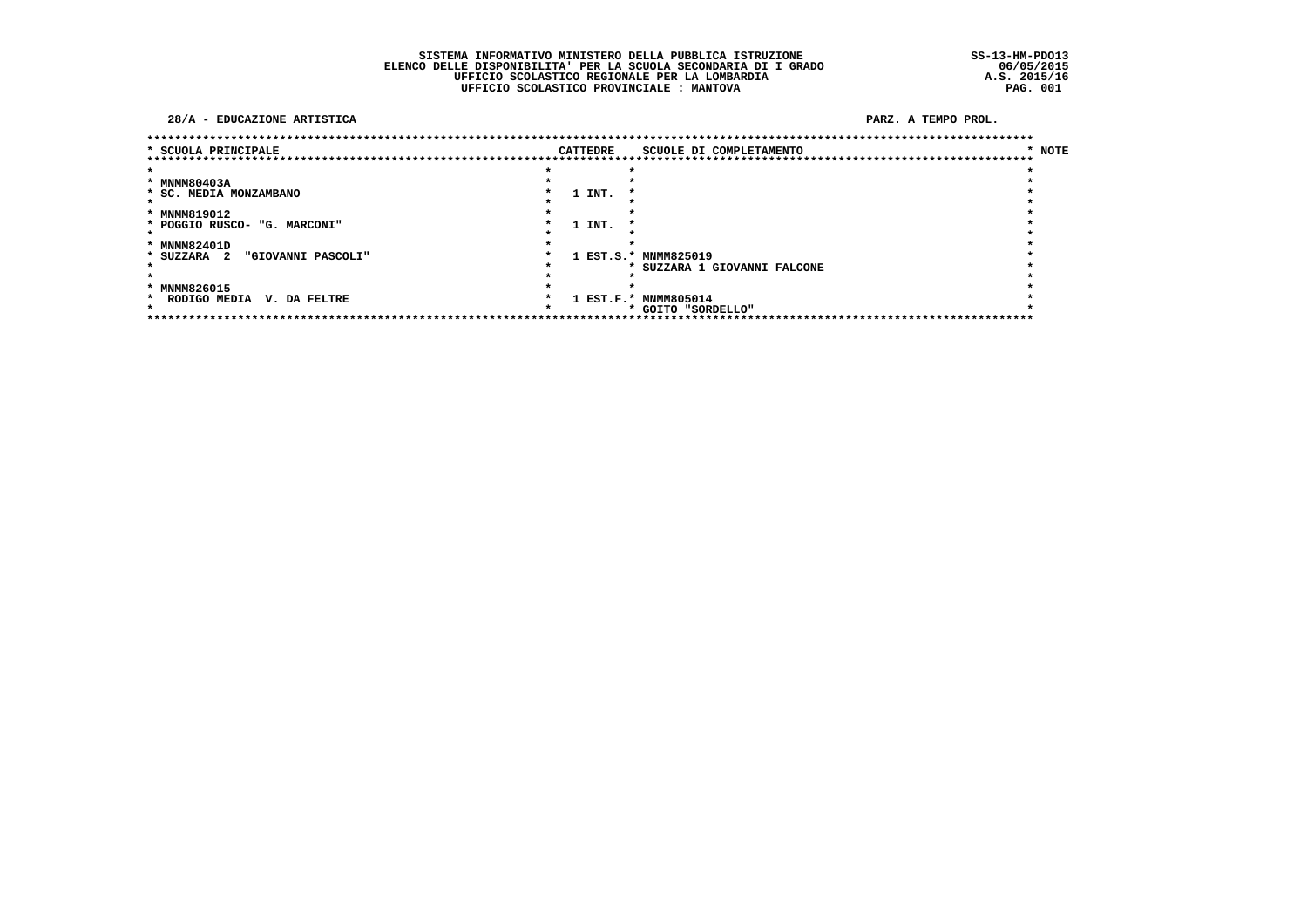SISTEMA INFORMATIVO MINISTERO DELLA PUBBLICA ISTRUZIONE<br>ELENCO DELLE DISPONIBILITA' PER LA SCUOLA SECONDARIA DI I GRADO<br>UFFICIO SCOLASTICO REGIONALE PER LA LOMBARDIA<br>UFFICIO SCOLASTICO PROVINCIALE : MANTOVA

 $SS-13-HM-PDO13$  $06/05/2015$ <br>A.S. 2015/16<br>PAG. 001

#### 28/A - EDUCAZIONE ARTISTICA

| ********************************   |  |                 | ************************************ |        |
|------------------------------------|--|-----------------|--------------------------------------|--------|
| * SCUOLA PRINCIPALE                |  | <b>CATTEDRE</b> | SCUOLE DI COMPLETAMENTO              | * NOTE |
|                                    |  |                 | **************************           |        |
|                                    |  |                 |                                      |        |
| * MNMM80403A                       |  |                 |                                      |        |
| * SC. MEDIA MONZAMBANO             |  | 1 INT.          |                                      |        |
|                                    |  |                 |                                      |        |
| * MNMM819012                       |  |                 |                                      |        |
| * POGGIO RUSCO- "G. MARCONI"       |  | 1 INT.          |                                      |        |
|                                    |  |                 |                                      |        |
| * MNMM82401D                       |  |                 |                                      |        |
| "GIOVANNI PASCOLI"<br>* SUZZARA 2  |  |                 | 1 EST.S.* MNMM825019                 |        |
|                                    |  |                 | * SUZZARA 1 GIOVANNI FALCONE         |        |
|                                    |  |                 |                                      |        |
| * MNMM826015                       |  |                 |                                      |        |
| RODIGO MEDIA<br>V. DA FELTRE<br>*  |  |                 | 1 EST.F.* MNMM805014                 |        |
|                                    |  |                 | * GOITO "SORDELLO"                   |        |
| ********************************** |  |                 | ******************************       |        |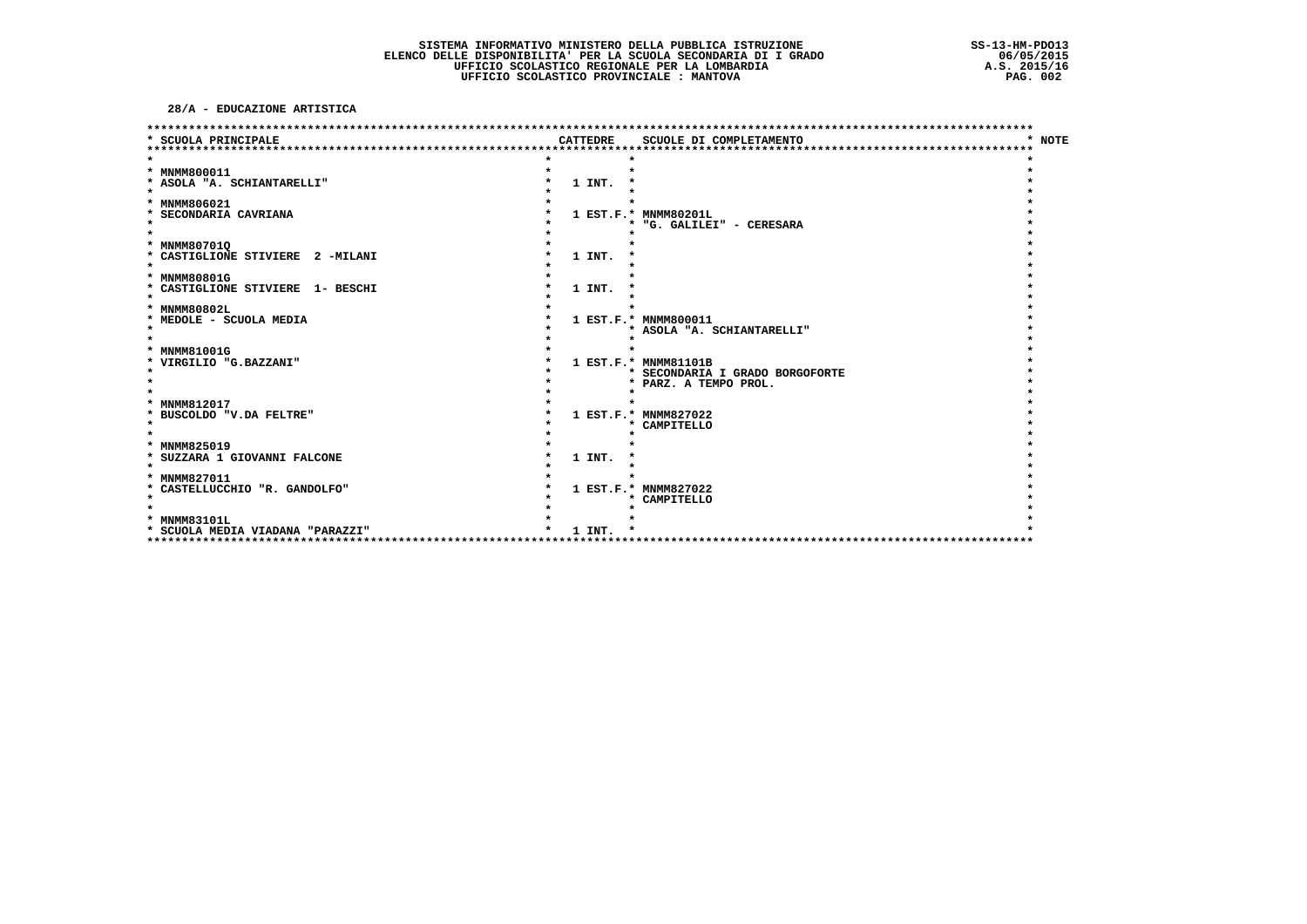28/A - EDUCAZIONE ARTISTICA

| SCUOLA PRINCIPALE                                          |  | <b>CATTEDRE</b> | SCUOLE DI COMPLETAMENTO         | * NOTE |
|------------------------------------------------------------|--|-----------------|---------------------------------|--------|
|                                                            |  |                 |                                 |        |
|                                                            |  |                 |                                 |        |
| * MNMM800011                                               |  |                 |                                 |        |
| * ASOLA "A. SCHIANTARELLI"                                 |  | 1 INT.          |                                 |        |
| $\star$                                                    |  |                 |                                 |        |
| * MNMM806021                                               |  |                 |                                 |        |
| * SECONDARIA CAVRIANA                                      |  |                 | 1 EST.F.* MNMM80201L            |        |
| $\star$                                                    |  |                 | "G. GALILEI" - CERESARA<br>*    |        |
|                                                            |  |                 |                                 |        |
| * MNMM80701Q                                               |  |                 |                                 |        |
| * CASTIGLIONE STIVIERE 2 -MILANI                           |  | 1 INT.          |                                 |        |
|                                                            |  |                 |                                 |        |
| * MNMM80801G<br>* CASTIGLIONE STIVIERE 1- BESCHI           |  | 1 INT.          |                                 |        |
| $\star$                                                    |  |                 |                                 |        |
| * MNMM80802L                                               |  |                 |                                 |        |
| * MEDOLE - SCUOLA MEDIA                                    |  |                 | 1 EST.F.* MNMM800011            |        |
| $\star$                                                    |  |                 | * ASOLA "A. SCHIANTARELLI"      |        |
|                                                            |  |                 |                                 |        |
| * MNMM81001G                                               |  |                 |                                 |        |
| * VIRGILIO "G.BAZZANI"                                     |  |                 | 1 EST.F.* MNMM81101B            |        |
|                                                            |  |                 | * SECONDARIA I GRADO BORGOFORTE |        |
|                                                            |  |                 | * PARZ. A TEMPO PROL.           |        |
|                                                            |  |                 |                                 |        |
| <b>MNMM812017</b><br>*                                     |  |                 |                                 |        |
| * BUSCOLDO "V.DA FELTRE"                                   |  |                 | 1 EST.F.* MNMM827022            |        |
| $\star$                                                    |  |                 | * CAMPITELLO                    |        |
|                                                            |  |                 |                                 |        |
| * MNMM825019                                               |  |                 |                                 |        |
| * SUZZARA 1 GIOVANNI FALCONE                               |  | 1 INT.          |                                 |        |
| $\star$                                                    |  |                 |                                 |        |
| * MNMM827011                                               |  |                 |                                 |        |
| * CASTELLUCCHIO "R. GANDOLFO"<br>$\star$                   |  |                 | 1 EST.F.* MNMM827022            |        |
|                                                            |  |                 | * CAMPITELLO                    |        |
| * MNMM83101L                                               |  |                 |                                 |        |
| * SCUOLA MEDIA VIADANA "PARAZZI"                           |  | 1 INT.          |                                 |        |
| *********************************<br>********************* |  |                 |                                 |        |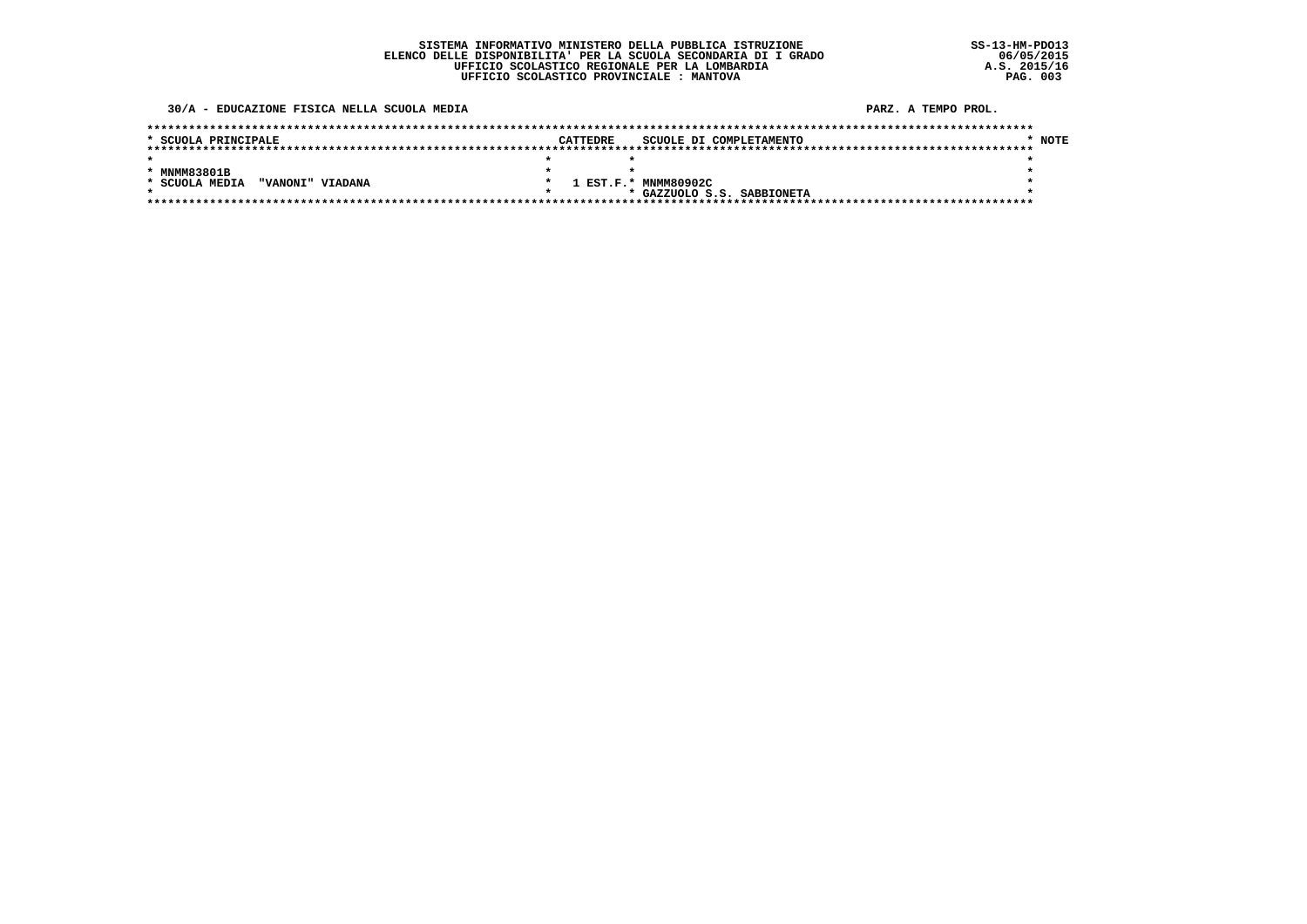#### 30/A - EDUCAZIONE FISICA NELLA SCUOLA MEDIA

| * SCUOLA PRINCIPALE                | <b>CATTEDRE</b> | SCUOLE DI COMPLETAMENTO    | * NOTE |
|------------------------------------|-----------------|----------------------------|--------|
|                                    |                 |                            |        |
|                                    |                 |                            |        |
| * MNMM83801B                       |                 |                            |        |
| * SCUOLA MEDIA<br>"VANONI" VIADANA |                 | 1 EST.F.* MNMM80902C       |        |
|                                    |                 | * GAZZUOLO S.S. SABBIONETA |        |
|                                    |                 |                            |        |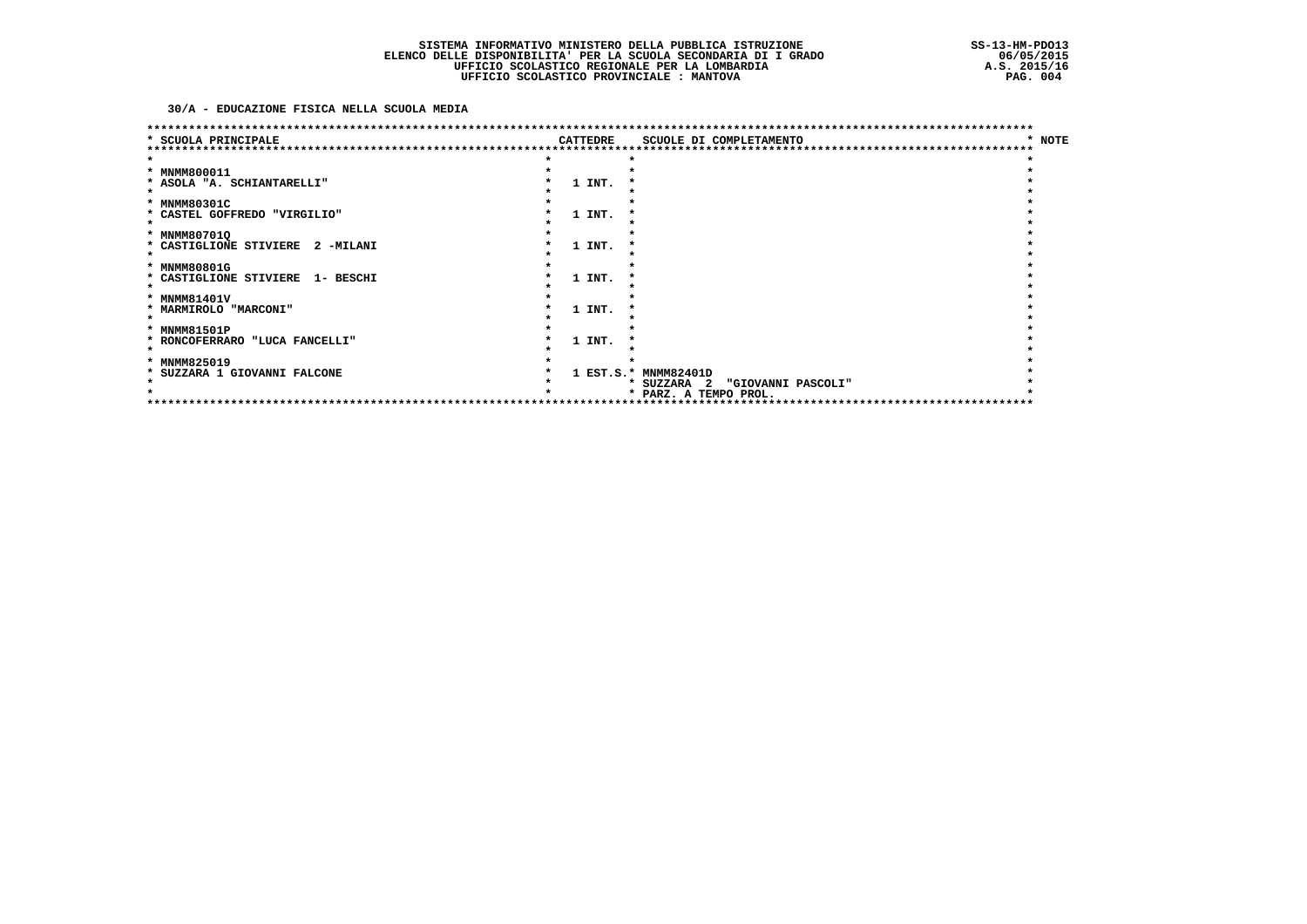### 30/A - EDUCAZIONE FISICA NELLA SCUOLA MEDIA

|                                     |                 |        | ******************************    |        |
|-------------------------------------|-----------------|--------|-----------------------------------|--------|
| SCUOLA PRINCIPALE                   | <b>CATTEDRE</b> |        | SCUOLE DI COMPLETAMENTO           | * NOTE |
|                                     |                 |        |                                   |        |
|                                     |                 |        |                                   |        |
| * MNMM800011                        |                 |        |                                   |        |
| * ASOLA "A. SCHIANTARELLI"          |                 | 1 INT. |                                   |        |
|                                     |                 |        |                                   |        |
| * MNMM80301C                        |                 |        |                                   |        |
| * CASTEL GOFFREDO "VIRGILIO"        |                 | 1 INT. |                                   |        |
|                                     |                 |        |                                   |        |
| * MNMM80701Q                        |                 |        |                                   |        |
| * CASTIGLIONE STIVIERE<br>2 -MILANI |                 | 1 INT. |                                   |        |
|                                     |                 |        |                                   |        |
| * MNMM80801G                        |                 |        |                                   |        |
| * CASTIGLIONE STIVIERE<br>1- BESCHI |                 | 1 INT. |                                   |        |
|                                     |                 |        |                                   |        |
| * MNMM81401V                        |                 |        |                                   |        |
| * MARMIROLO "MARCONI"               |                 | 1 INT. |                                   |        |
|                                     |                 |        |                                   |        |
| * MNMM81501P                        |                 |        |                                   |        |
| * RONCOFERRARO "LUCA FANCELLI"      |                 | 1 INT. |                                   |        |
|                                     |                 |        |                                   |        |
| <b>MNMM825019</b><br>*              |                 |        |                                   |        |
| SUZZARA 1 GIOVANNI FALCONE          |                 |        | 1 EST.S.* MNMM82401D              |        |
|                                     |                 |        | * SUZZARA 2<br>"GIOVANNI PASCOLI" |        |
|                                     |                 |        | * PARZ. A TEMPO PROL.             |        |
|                                     |                 |        | ***********************           |        |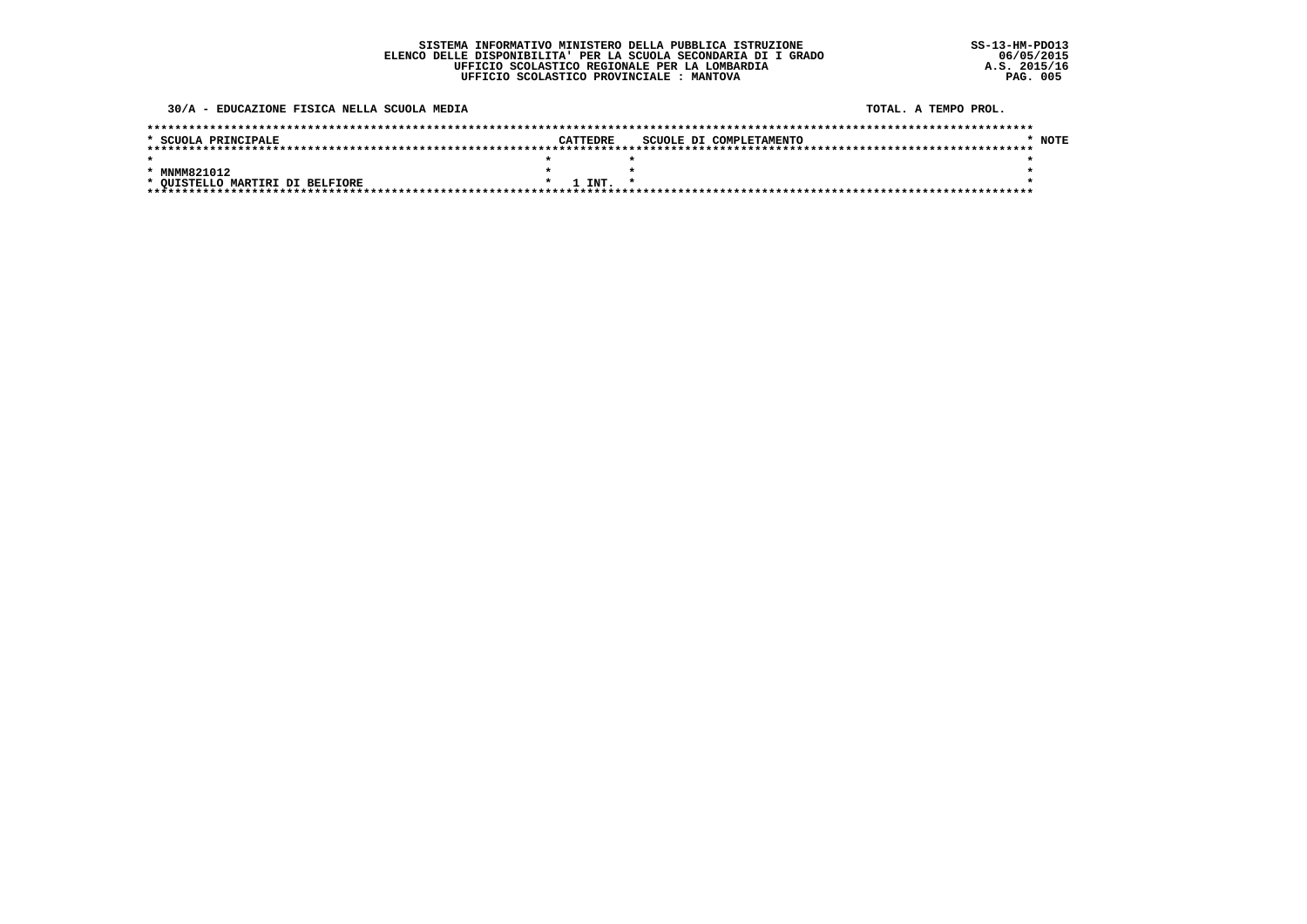30/A - EDUCAZIONE FISICA NELLA SCUOLA MEDIA

TOTAL, A TEMPO PROL.

| * SCUOLA PRINCIPALE             |  | CATTEDRE     |  | SCUOLE DI COMPLETAMENTO | * NOTE |
|---------------------------------|--|--------------|--|-------------------------|--------|
|                                 |  |              |  |                         |        |
|                                 |  |              |  |                         |        |
| MNMM821012                      |  |              |  |                         |        |
| * QUISTELLO MARTIRI DI BELFIORE |  | $1$ INT. $*$ |  |                         |        |
|                                 |  |              |  |                         |        |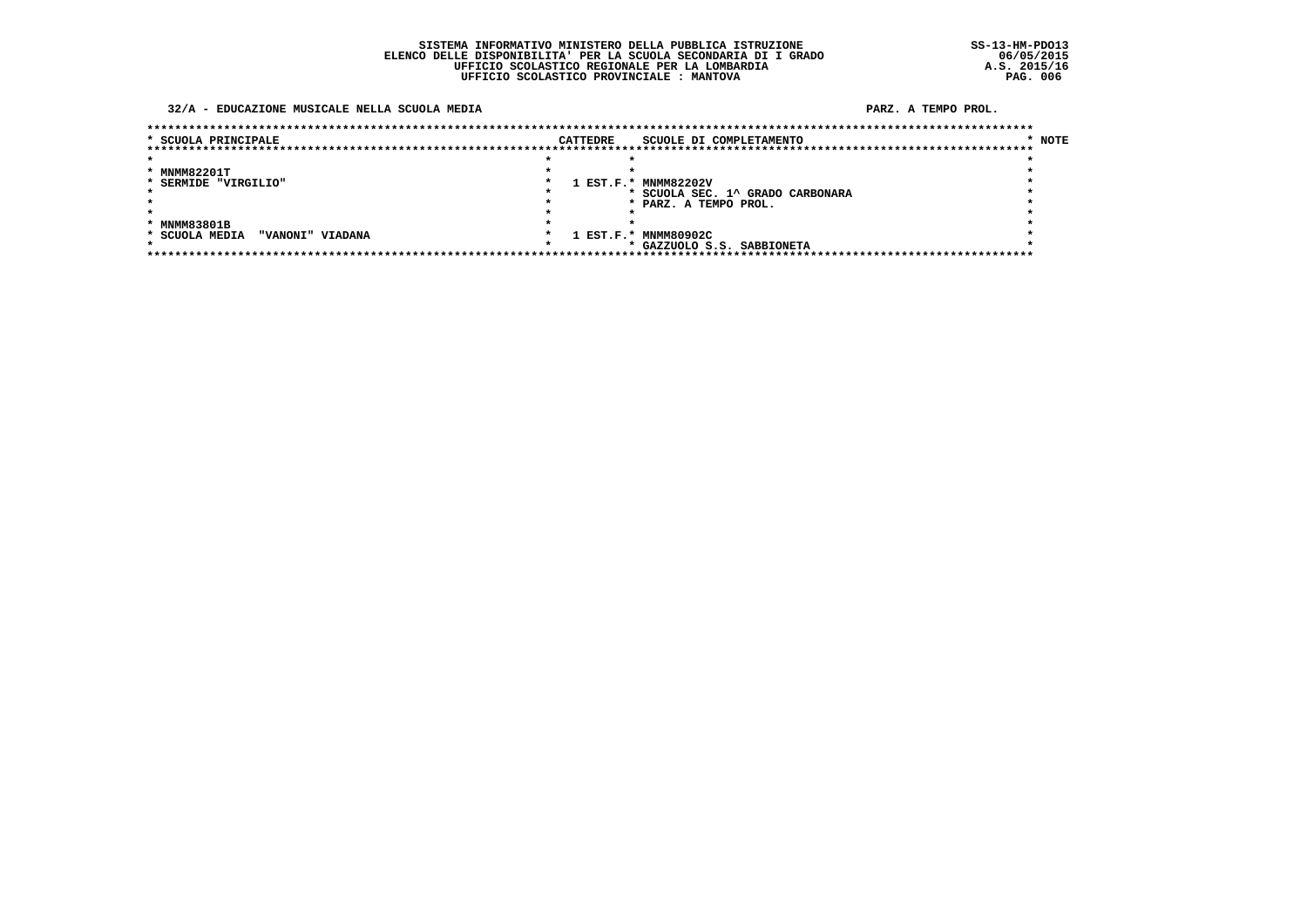#### 32/A - EDUCAZIONE MUSICALE NELLA SCUOLA MEDIA

| * SCUOLA PRINCIPALE                |  | CATTEDRE | SCUOLE DI COMPLETAMENTO        | * NOTE |
|------------------------------------|--|----------|--------------------------------|--------|
|                                    |  |          |                                |        |
|                                    |  |          |                                |        |
| * MNMM82201T                       |  |          |                                |        |
| * SERMIDE "VIRGILIO"               |  |          | 1 EST.F.* MNMM82202V           |        |
|                                    |  |          | SCUOLA SEC. 1^ GRADO CARBONARA |        |
|                                    |  |          | PARZ. A TEMPO PROL.            |        |
|                                    |  |          |                                |        |
| * MNMM83801B                       |  |          |                                |        |
| * SCUOLA MEDIA<br>"VANONI" VIADANA |  |          | 1 EST.F.* MNMM80902C           |        |
|                                    |  |          | * GAZZUOLO S.S. SABBIONETA     |        |
|                                    |  |          |                                |        |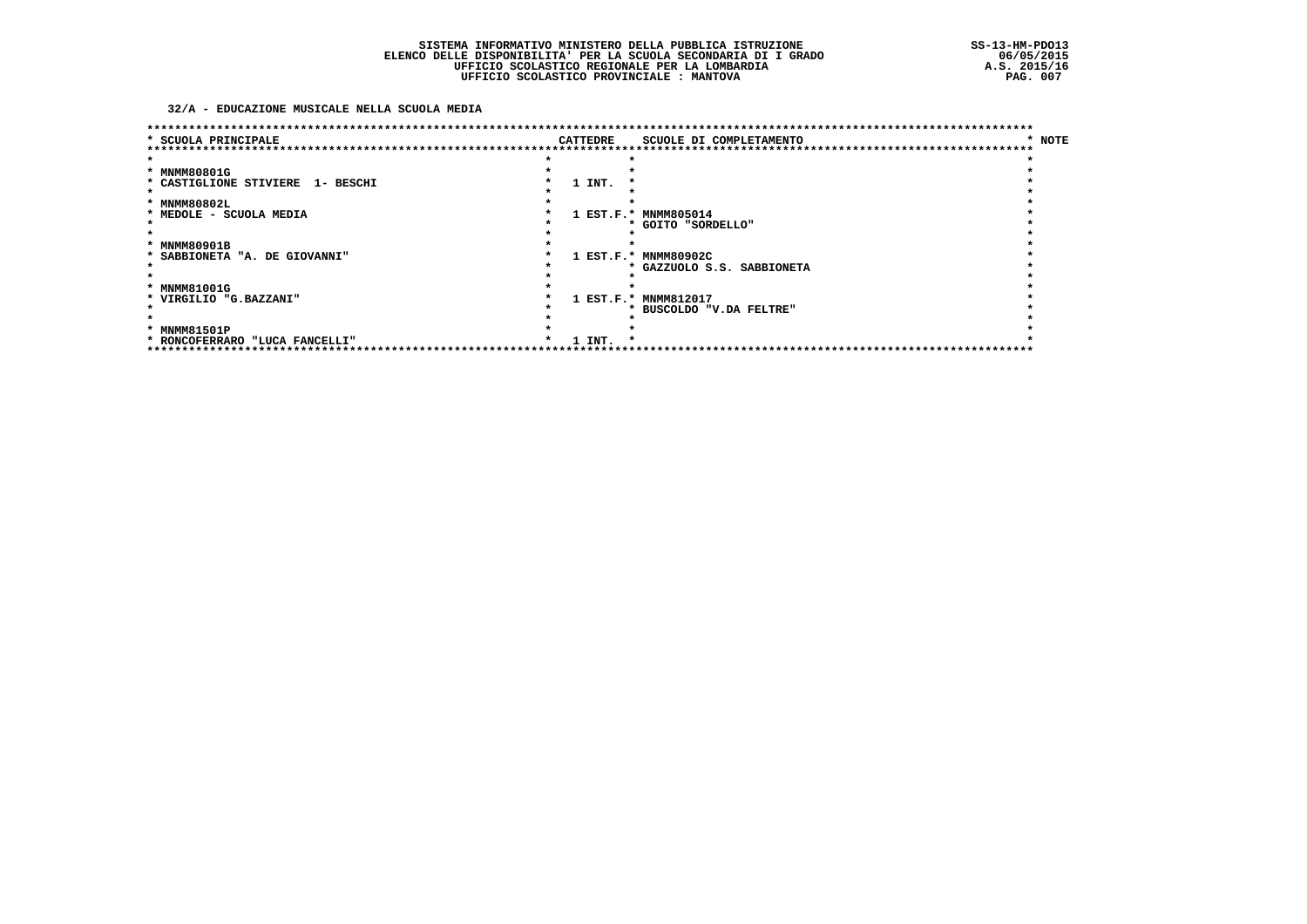32/A - EDUCAZIONE MUSICALE NELLA SCUOLA MEDIA

| * SCUOLA PRINCIPALE              |  | <b>CATTEDRE</b> | SCUOLE DI COMPLETAMENTO    | * NOTE |
|----------------------------------|--|-----------------|----------------------------|--------|
|                                  |  |                 |                            |        |
|                                  |  |                 |                            |        |
| * MNMM80801G                     |  |                 |                            |        |
| * CASTIGLIONE STIVIERE 1- BESCHI |  | 1 INT.          |                            |        |
|                                  |  |                 |                            |        |
| * MNMM80802L                     |  |                 |                            |        |
| * MEDOLE - SCUOLA MEDIA          |  |                 | 1 EST.F.* MNMM805014       |        |
|                                  |  |                 | * GOITO "SORDELLO"         |        |
|                                  |  |                 |                            |        |
| * MNMM80901B                     |  |                 |                            |        |
| * SABBIONETA "A. DE GIOVANNI"    |  |                 | 1 EST.F.* MNMM80902C       |        |
|                                  |  |                 | * GAZZUOLO S.S. SABBIONETA |        |
|                                  |  |                 |                            |        |
| * MNMM81001G                     |  |                 |                            |        |
| * VIRGILIO "G.BAZZANI"           |  |                 | 1 EST.F.* MNMM812017       |        |
|                                  |  |                 | * BUSCOLDO "V.DA FELTRE"   |        |
|                                  |  |                 |                            |        |
| * MNMM81501P                     |  |                 |                            |        |
| * RONCOFERRARO "LUCA FANCELLI"   |  | 1 INT.          |                            |        |
|                                  |  |                 |                            |        |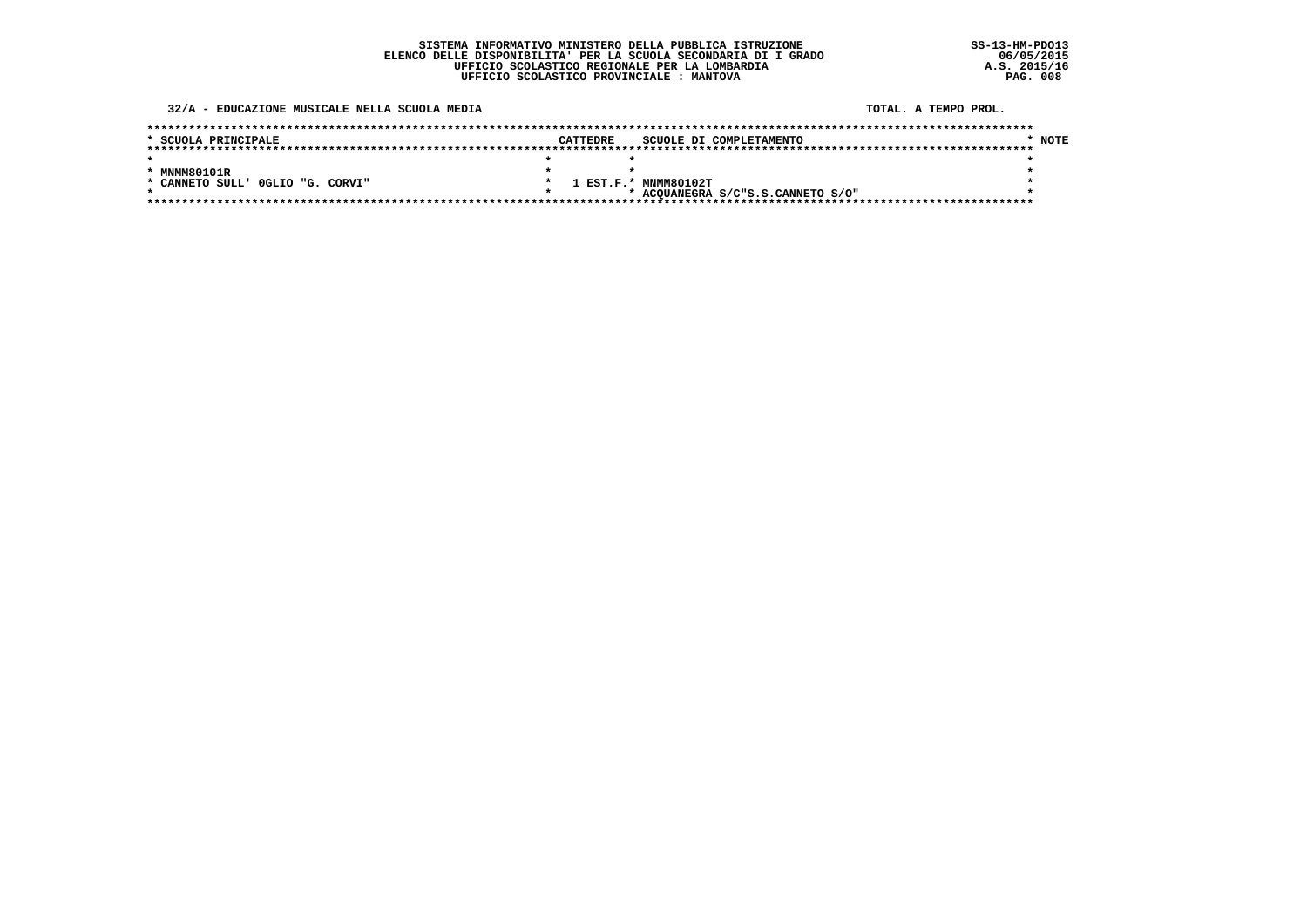32/A - EDUCAZIONE MUSICALE NELLA SCUOLA MEDIA

TOTAL, A TEMPO PROL.

| * SCUOLA PRINCIPALE              | CATTEDRE | SCUOLE DI COMPLETAMENTO           | NOTE |
|----------------------------------|----------|-----------------------------------|------|
|                                  |          |                                   |      |
|                                  |          |                                   |      |
| * MNMM80101R                     |          |                                   |      |
| * CANNETO SULL' OGLIO "G. CORVI" |          | 1 EST.F.* MNMM80102T              |      |
|                                  |          | * ACQUANEGRA S/C"S.S.CANNETO S/O" |      |
|                                  |          |                                   |      |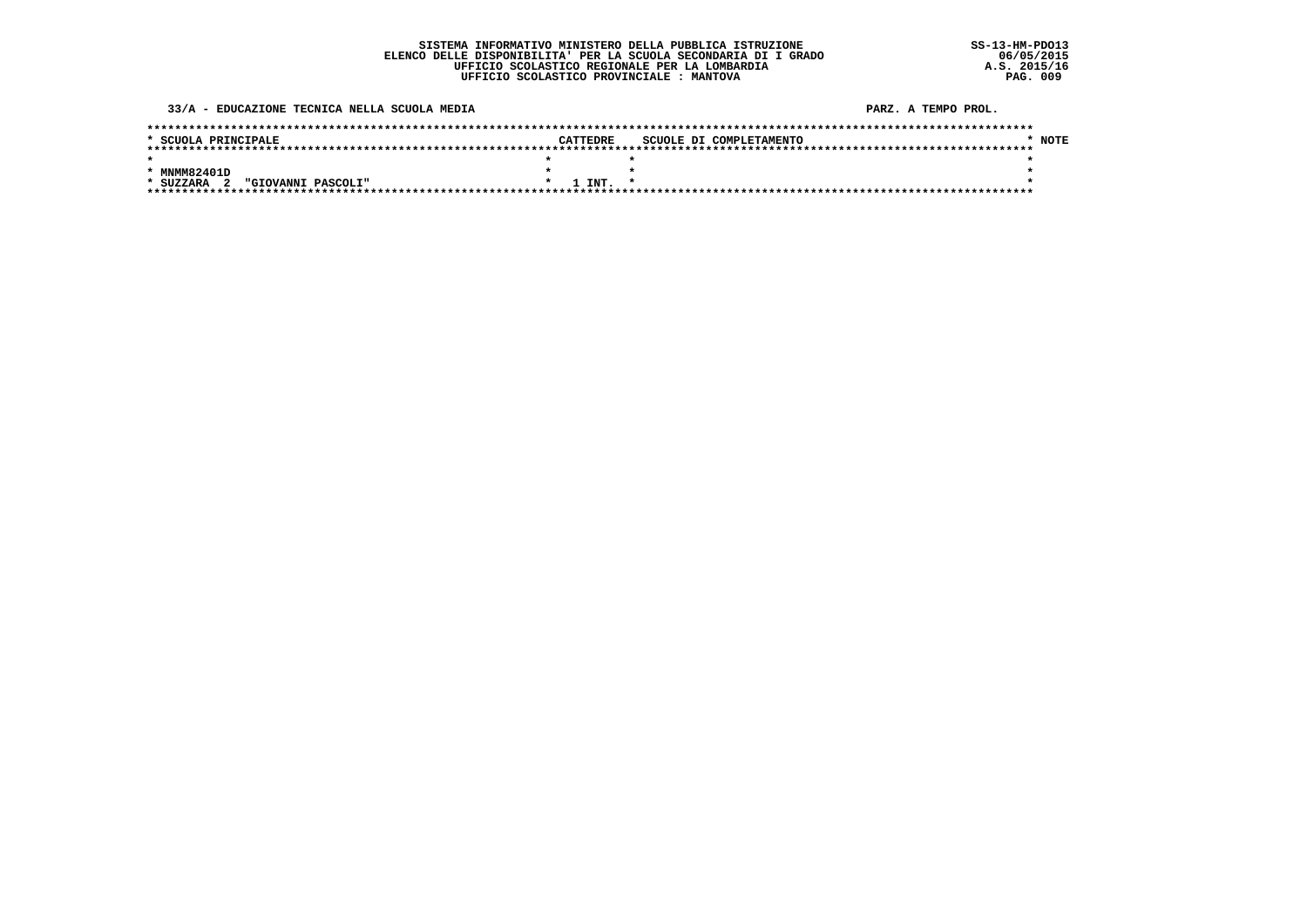33/A - EDUCAZIONE TECNICA NELLA SCUOLA MEDIA

| * SCUOLA PRINCIPALE                                        | <b>CATTEDRE</b> | SCUOLE DI COMPLETAMENTO | NOTE |
|------------------------------------------------------------|-----------------|-------------------------|------|
|                                                            |                 |                         |      |
|                                                            |                 |                         |      |
| * MNMM82401D                                               |                 |                         |      |
| "GIOVANNI PASCOLI"<br>$\overline{\mathbf{2}}$<br>* SUZZARA | $1$ TNT. $*$    |                         |      |
|                                                            |                 |                         |      |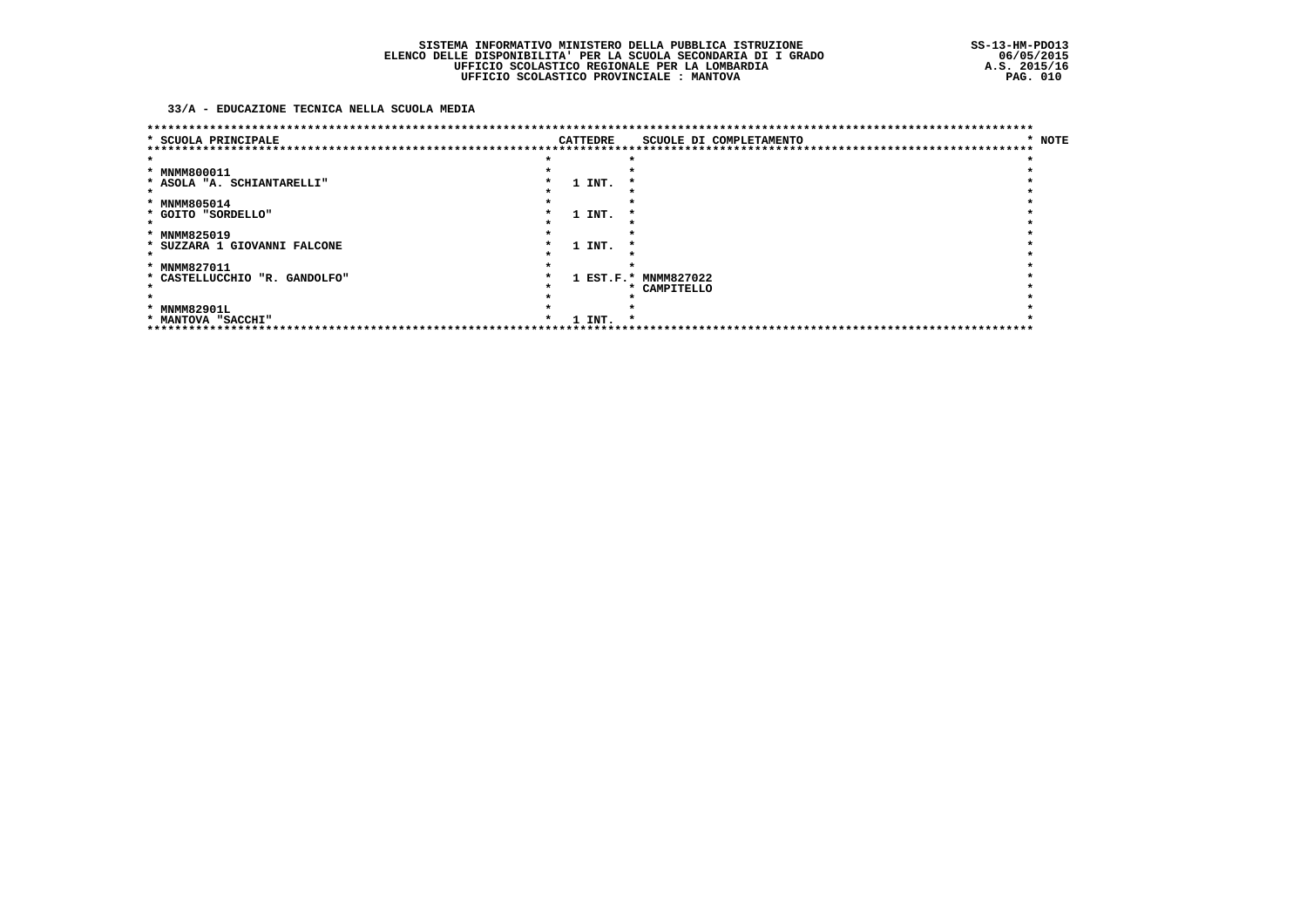### 33/A - EDUCAZIONE TECNICA NELLA SCUOLA MEDIA

| * SCUOLA PRINCIPALE           |  | <b>CATTEDRE</b> | ******************************<br>SCUOLE DI COMPLETAMENTO | * NOTE |
|-------------------------------|--|-----------------|-----------------------------------------------------------|--------|
|                               |  |                 | ****************                                          |        |
| * MNMM800011                  |  |                 |                                                           |        |
| * ASOLA "A. SCHIANTARELLI"    |  | 1 INT.          |                                                           |        |
|                               |  |                 |                                                           |        |
| * MNMM805014                  |  |                 |                                                           |        |
| * GOITO "SORDELLO"            |  | 1 INT.          |                                                           |        |
|                               |  |                 |                                                           |        |
| * MNMM825019                  |  |                 |                                                           |        |
| * SUZZARA 1 GIOVANNI FALCONE  |  | 1 INT.          |                                                           |        |
|                               |  |                 |                                                           |        |
| * MNMM827011                  |  |                 |                                                           |        |
| * CASTELLUCCHIO "R. GANDOLFO" |  | $1$ EST.F.*     | <b>MNMM827022</b>                                         |        |
|                               |  |                 | * CAMPITELLO                                              |        |
|                               |  |                 |                                                           |        |
| * MNMM82901L                  |  |                 |                                                           |        |
| * MANTOVA "SACCHI"            |  | 1 INT.          | *                                                         |        |
|                               |  |                 |                                                           |        |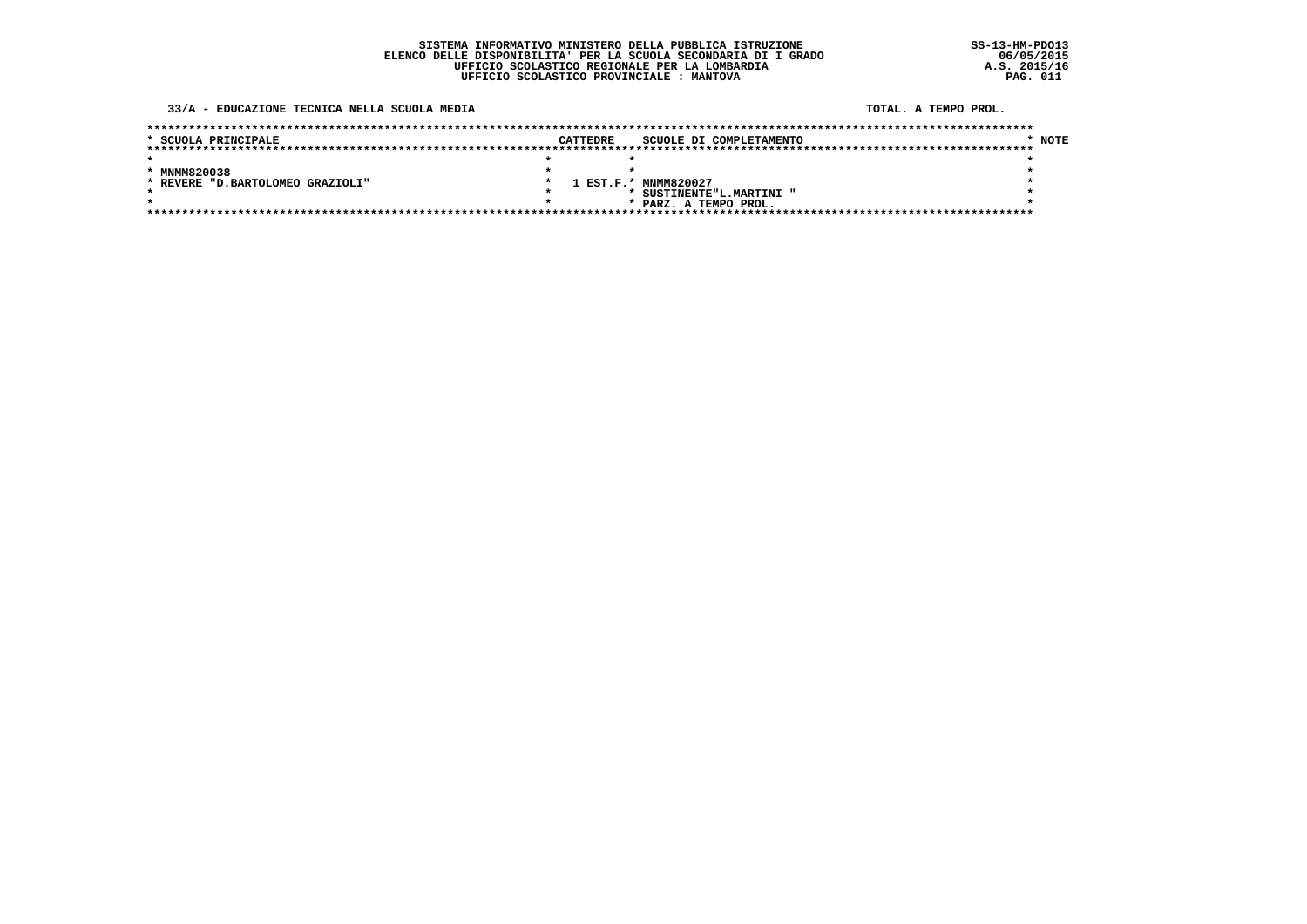#### 33/A - EDUCAZIONE TECNICA NELLA SCUOLA MEDIA

#### TOTAL, A TEMPO PROL.

| * SCUOLA PRINCIPALE               | CATTEDRE | SCUOLE DI COMPLETAMENTO | * NOTE |
|-----------------------------------|----------|-------------------------|--------|
|                                   |          |                         |        |
|                                   |          |                         |        |
| * MNMM820038                      |          |                         |        |
| * REVERE "D. BARTOLOMEO GRAZIOLI" |          | 1 EST.F.* MNMM820027    |        |
|                                   |          | SUSTINENTE"L.MARTINI "  |        |
|                                   |          | * PARZ. A TEMPO PROL.   |        |
|                                   |          |                         |        |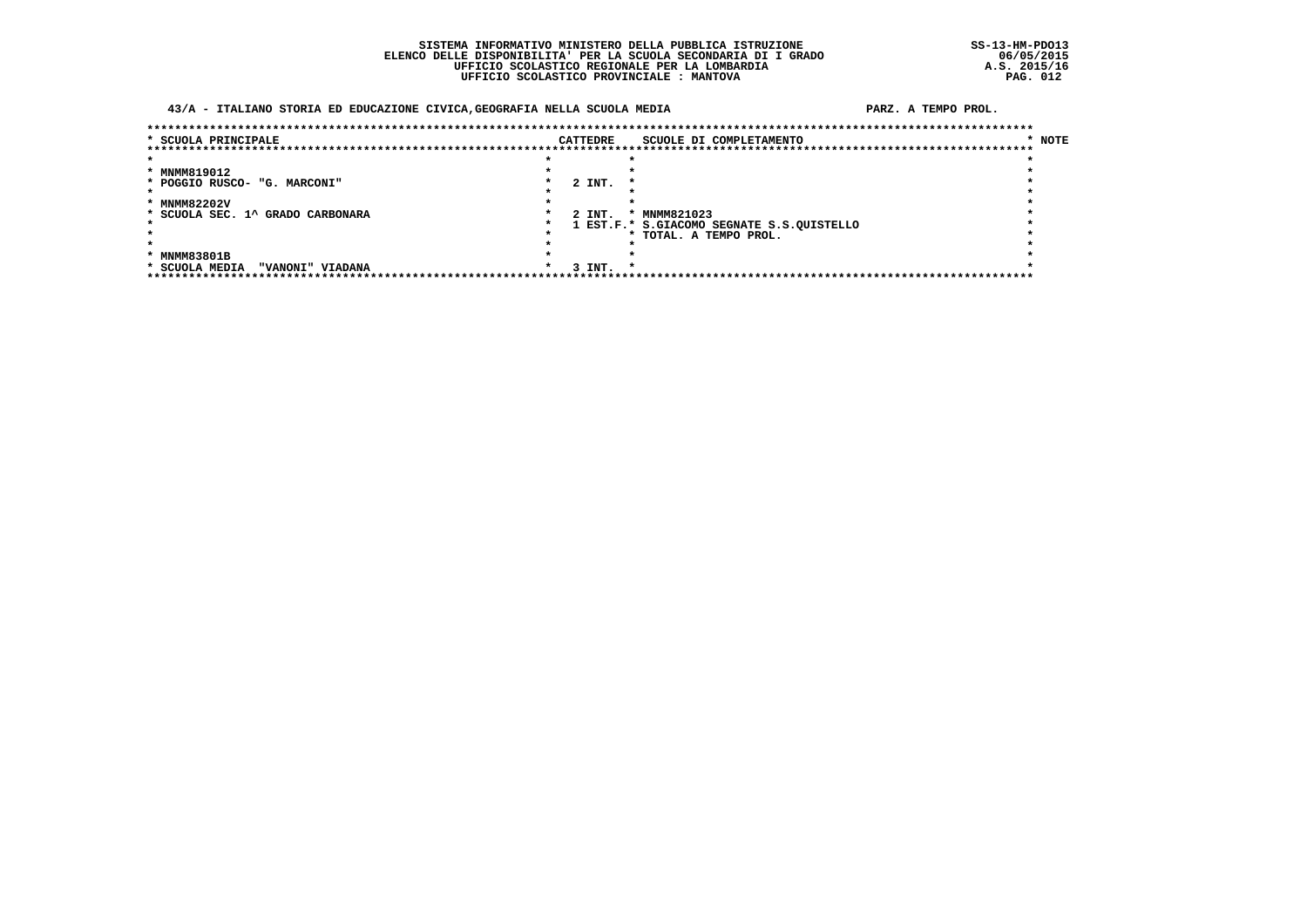### SISTEMA INFORMATIVO MINISTERO DELLA PUBBLICA ISTRUZIONE ELENCO DELLE DISPONIBILITA' PER LA SCUOLA SECONDARIA DI I GRADO<br>UFFICIO SCOLASTICO REGIONALE PER LA LOMBARDIA UFFICIO SCOLASTICO PROVINCIALE : MANTOVA

### 43/A - ITALIANO STORIA ED EDUCAZIONE CIVICA, GEOGRAFIA NELLA SCUOLA MEDIA

| * SCUOLA PRINCIPALE              |                  |  | CATTEDRE          | SCUOLE DI COMPLETAMENTO                   | * NOTE |
|----------------------------------|------------------|--|-------------------|-------------------------------------------|--------|
|                                  |                  |  |                   |                                           |        |
|                                  |                  |  |                   |                                           |        |
| * MNMM819012                     |                  |  |                   |                                           |        |
| * POGGIO RUSCO- "G. MARCONI"     |                  |  | 2 INT.            |                                           |        |
|                                  |                  |  |                   |                                           |        |
| * MNMM82202V                     |                  |  |                   |                                           |        |
| * SCUOLA SEC. 1^ GRADO CARBONARA |                  |  | 2 INT.            | * MNMM821023                              |        |
|                                  |                  |  |                   | 1 EST.F.* S.GIACOMO SEGNATE S.S.QUISTELLO |        |
|                                  |                  |  |                   | * TOTAL. A TEMPO PROL.                    |        |
|                                  |                  |  |                   |                                           |        |
| * MNMM83801B                     |                  |  |                   |                                           |        |
| * SCUOLA MEDIA                   | "VANONI" VIADANA |  | 3 INT.<br>$\star$ |                                           |        |
|                                  |                  |  |                   |                                           |        |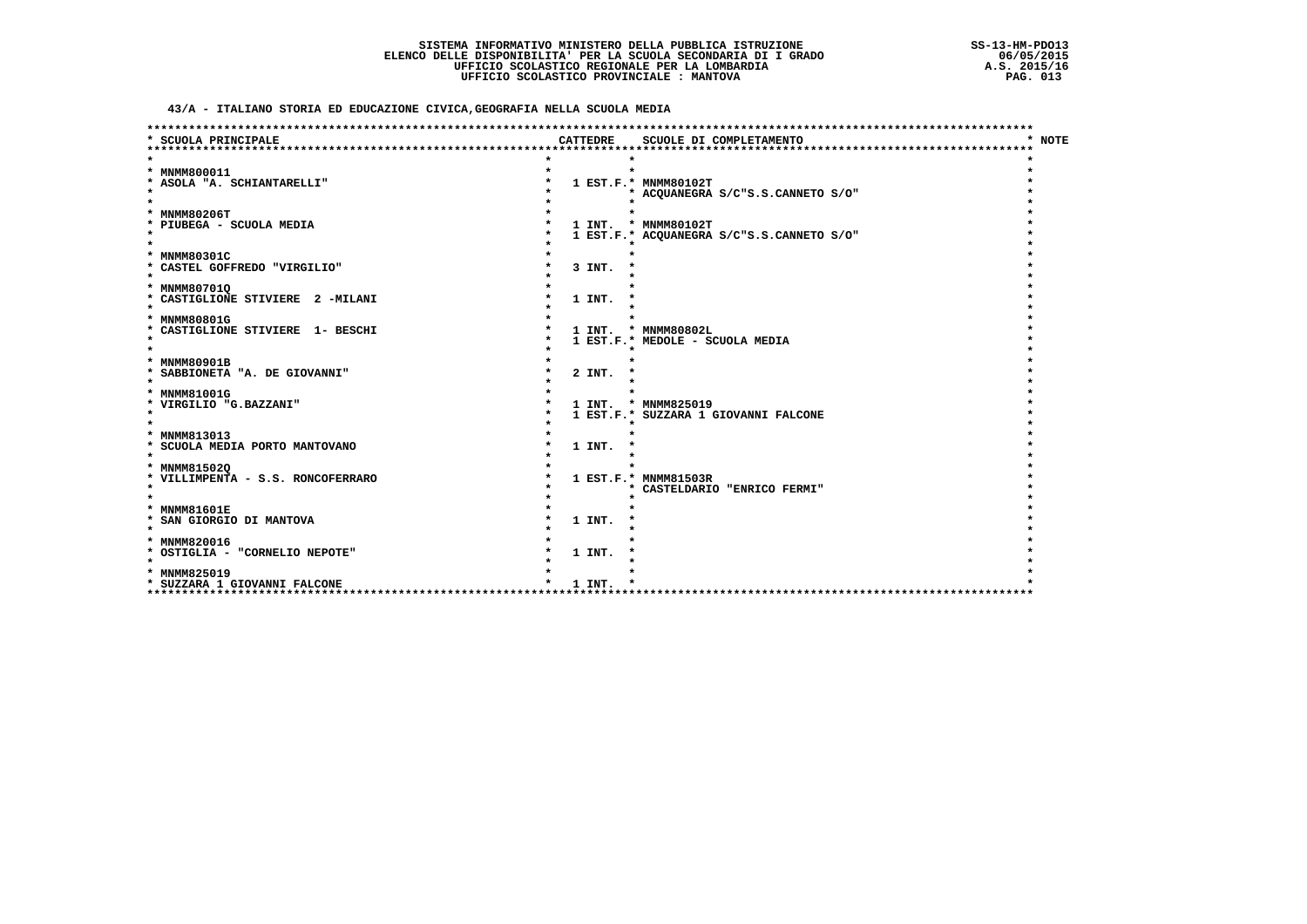43/A - ITALIANO STORIA ED EDUCAZIONE CIVICA, GEOGRAFIA NELLA SCUOLA MEDIA

| * SCUOLA PRINCIPALE                      |  | CATTEDRE | SCUOLE DI COMPLETAMENTO                   | <b>NOTE</b> |
|------------------------------------------|--|----------|-------------------------------------------|-------------|
|                                          |  |          |                                           |             |
|                                          |  |          |                                           |             |
| * MNMM800011                             |  |          | $\star$                                   |             |
| * ASOLA "A. SCHIANTARELLI"<br>$\star$    |  |          | 1 EST.F.* MNMM80102T                      |             |
| $\star$                                  |  |          | * ACQUANEGRA S/C"S.S.CANNETO S/O"         |             |
| * MNMM80206T                             |  |          |                                           |             |
| * PIUBEGA - SCUOLA MEDIA                 |  |          | 1 INT. * MNMM80102T                       |             |
| $\star$                                  |  |          | 1 EST.F.* ACQUANEGRA S/C"S.S.CANNETO S/O" |             |
| $\star$                                  |  |          |                                           |             |
| * MNMM80301C                             |  |          |                                           |             |
| * CASTEL GOFFREDO "VIRGILIO"             |  | 3 INT.   |                                           |             |
| $\star$                                  |  |          |                                           |             |
| * MNMM80701Q                             |  |          |                                           |             |
| * CASTIGLIONE STIVIERE 2 -MILANI         |  | 1 INT.   |                                           |             |
| $\star$                                  |  |          |                                           |             |
| * MNMM80801G                             |  |          |                                           |             |
| * CASTIGLIONE STIVIERE 1- BESCHI         |  |          | 1 INT. * MNMM80802L                       |             |
| $\star$                                  |  |          | 1 EST.F.* MEDOLE - SCUOLA MEDIA           |             |
|                                          |  |          |                                           |             |
| * MNMM80901B                             |  |          |                                           |             |
| * SABBIONETA "A. DE GIOVANNI"<br>$\star$ |  | 2 INT.   |                                           |             |
| * MNMM81001G                             |  |          |                                           |             |
| * VIRGILIO "G.BAZZANI"                   |  |          | 1 INT. * MNMM825019                       |             |
| $\star$                                  |  |          | 1 EST.F.* SUZZARA 1 GIOVANNI FALCONE      |             |
| $\star$                                  |  |          |                                           |             |
| * MNMM813013                             |  |          |                                           |             |
| * SCUOLA MEDIA PORTO MANTOVANO           |  | 1 INT.   |                                           |             |
| $\star$                                  |  |          |                                           |             |
| * MNMM815020                             |  |          |                                           |             |
| * VILLIMPENTA - S.S. RONCOFERRARO        |  |          | 1 EST.F.* MNMM81503R                      |             |
| $\star$                                  |  |          | * CASTELDARIO "ENRICO FERMI"              |             |
| $\star$                                  |  |          |                                           |             |
| * MNMM81601E                             |  |          |                                           |             |
| * SAN GIORGIO DI MANTOVA                 |  | 1 INT.   |                                           |             |
| $\star$                                  |  |          |                                           |             |
| * MNMM820016                             |  |          |                                           |             |
| * OSTIGLIA - "CORNELIO NEPOTE"           |  | 1 INT.   |                                           |             |
| $\star$                                  |  |          |                                           |             |
| * MNMM825019                             |  |          |                                           |             |
| * SUZZARA 1 GIOVANNI FALCONE<br>****     |  | 1 INT.   |                                           |             |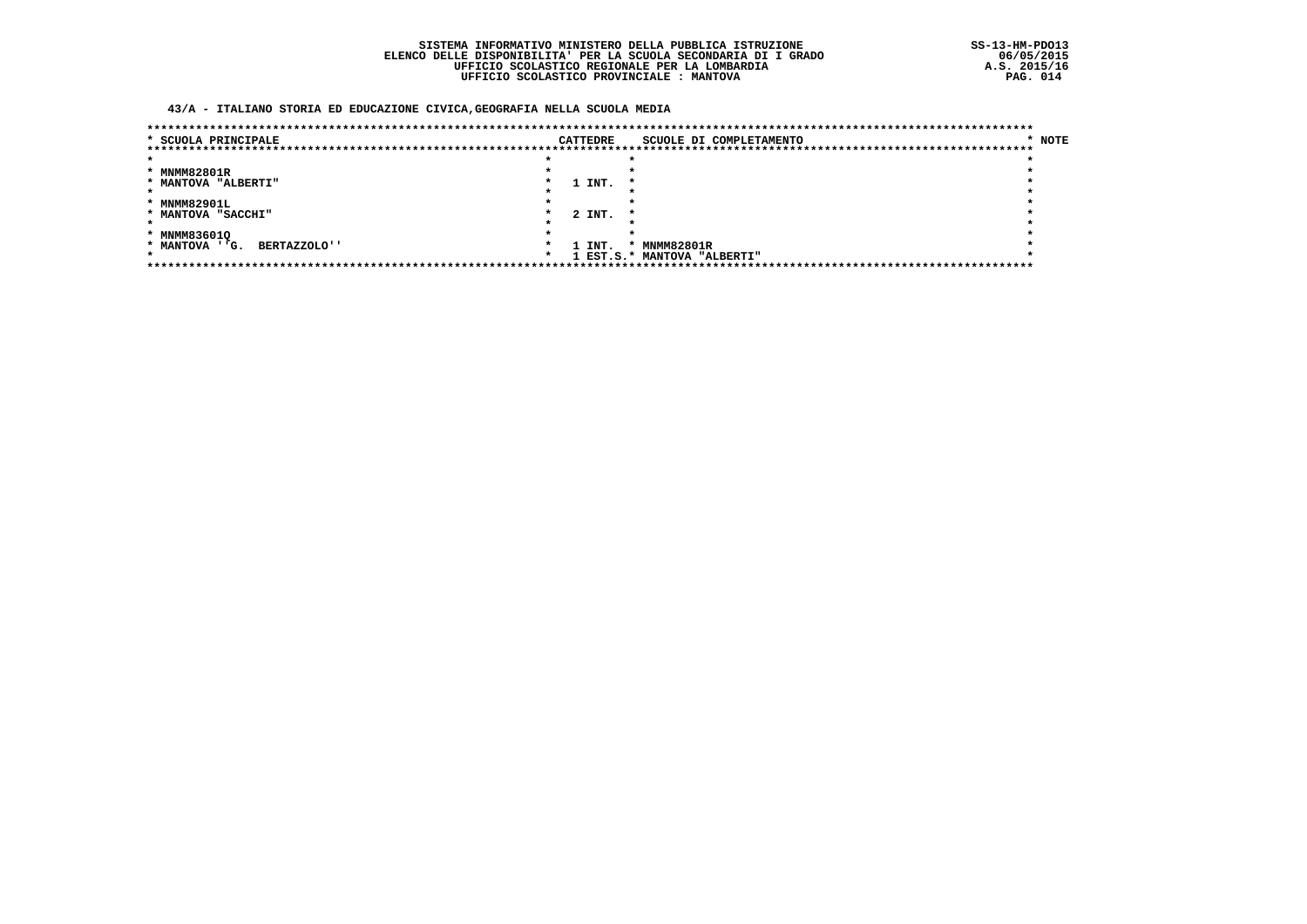### 43/A - ITALIANO STORIA ED EDUCAZIONE CIVICA, GEOGRAFIA NELLA SCUOLA MEDIA

| * SCUOLA PRINCIPALE                   |  | <b>CATTEDRE</b> | SCUOLE DI COMPLETAMENTO     | * NOTE |
|---------------------------------------|--|-----------------|-----------------------------|--------|
|                                       |  |                 |                             |        |
|                                       |  |                 |                             |        |
| * MNMM82801R                          |  |                 |                             |        |
| * MANTOVA "ALBERTI"                   |  | 1 INT.          |                             |        |
|                                       |  |                 |                             |        |
| * MNMM82901L                          |  |                 |                             |        |
| * MANTOVA "SACCHI"                    |  | 2 INT.          |                             |        |
|                                       |  |                 |                             |        |
| * MNMM836010                          |  |                 |                             |        |
| * MANTOVA ''G.<br><b>BERTAZZOLO''</b> |  | 1 INT.          | * MNMM82801R                |        |
|                                       |  |                 | 1 EST.S.* MANTOVA "ALBERTI" |        |
|                                       |  |                 |                             |        |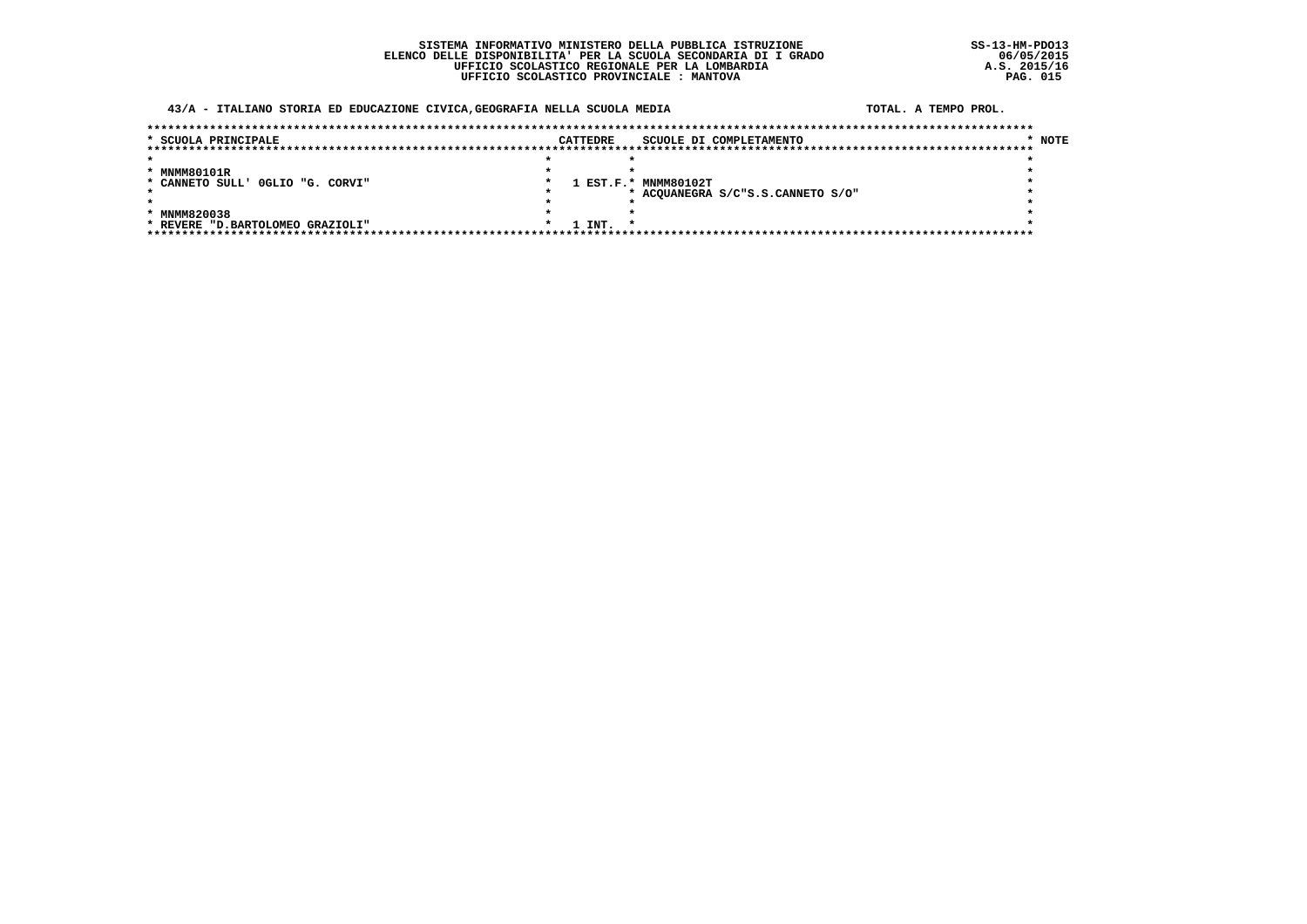### SISTEMA INFORMATIVO MINISTERO DELLA PUBBLICA ISTRUZIONE ELENCO DELLE DISPONIBILITA' PER LA SCUOLA SECONDARIA DI I GRADO<br>UFFICIO SCOLASTICO REGIONALE PER LA LOMBARDIA UFFICIO SCOLASTICO PROVINCIALE : MANTOVA

### 43/A - ITALIANO STORIA ED EDUCAZIONE CIVICA, GEOGRAFIA NELLA SCUOLA MEDIA

#### TOTAL, A TEMPO PROL.

| * SCUOLA PRINCIPALE              | CATTEDRE | SCUOLE DI COMPLETAMENTO           | * NOTE |
|----------------------------------|----------|-----------------------------------|--------|
|                                  |          |                                   |        |
|                                  |          |                                   |        |
| * MNMM80101R                     |          |                                   |        |
| * CANNETO SULL' OGLIO "G. CORVI" |          | 1 EST.F.* MNMM80102T              |        |
|                                  |          | * ACOUANEGRA S/C"S.S.CANNETO S/O" |        |
|                                  |          |                                   |        |
| * MNMM820038                     |          |                                   |        |
| * REVERE "D.BARTOLOMEO GRAZIOLI" | 1 INT.   |                                   |        |
|                                  |          |                                   |        |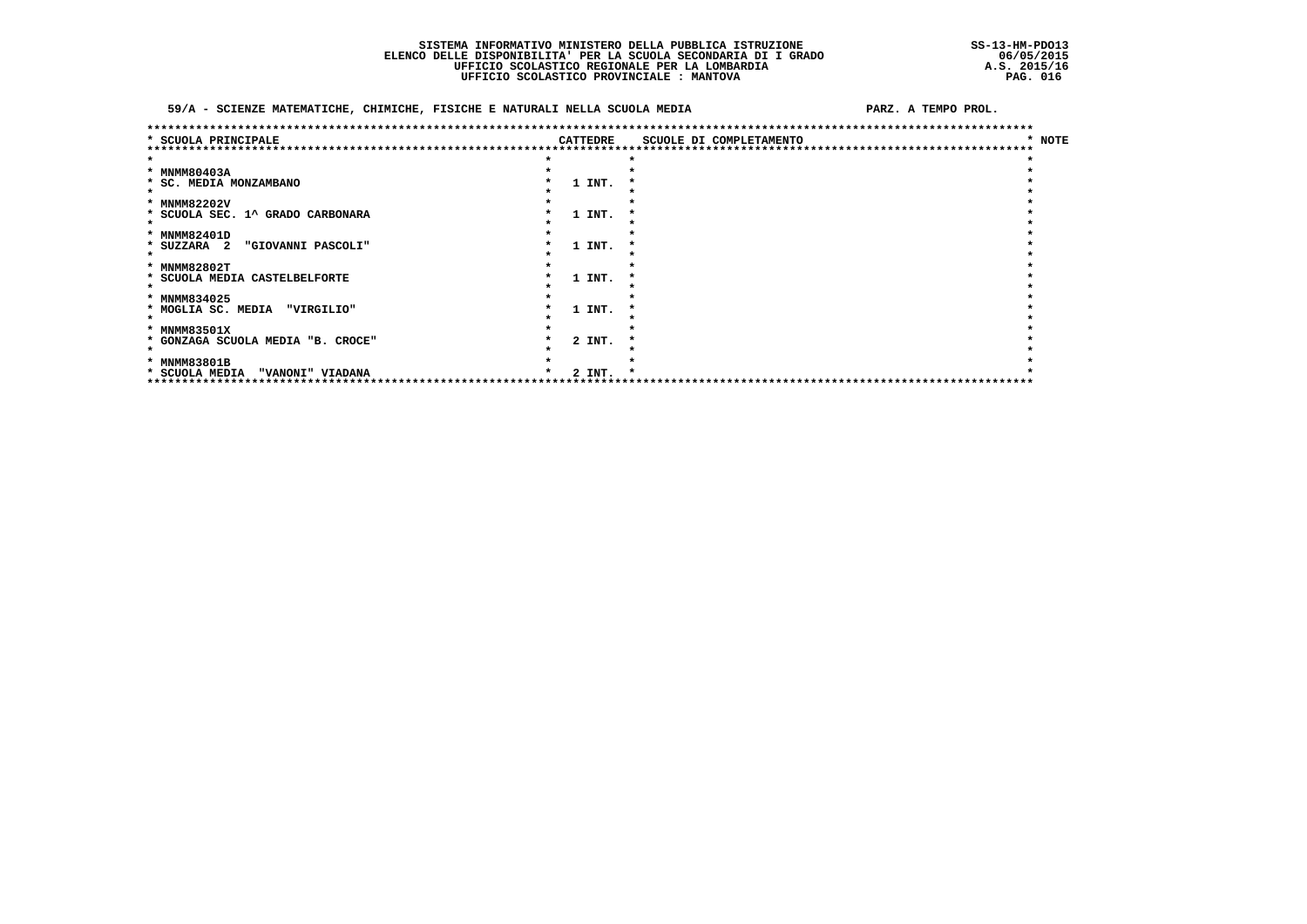### SISTEMA INFORMATIVO MINISTERO DELLA PUBBLICA ISTRUZIONE ELENCO DELLE DISPONIBILITA' PER LA SCUOLA SECONDARIA DI I GRADO<br>UFFICIO SCOLASTICO REGIONALE PER LA LOMBARDIA UFFICIO SCOLASTICO PROVINCIALE : MANTOVA

### 59/A - SCIENZE MATEMATICHE, CHIMICHE, FISICHE E NATURALI NELLA SCUOLA MEDIA

|                                    |          | ******************************** |                        |
|------------------------------------|----------|----------------------------------|------------------------|
| * SCUOLA PRINCIPALE                | CATTEDRE | SCUOLE DI COMPLETAMENTO          | <b>NOTE</b><br>$\star$ |
|                                    |          |                                  |                        |
|                                    |          |                                  |                        |
| * MNMM80403A                       |          |                                  |                        |
| * SC. MEDIA MONZAMBANO             | 1 INT.   |                                  |                        |
|                                    |          |                                  |                        |
| * MNMM82202V                       |          |                                  |                        |
| * SCUOLA SEC. 1^ GRADO CARBONARA   | 1 INT.   |                                  |                        |
|                                    |          |                                  |                        |
| * MNMM82401D                       |          |                                  |                        |
| * SUZZARA 2<br>"GIOVANNI PASCOLI"  | 1 INT.   |                                  |                        |
|                                    |          |                                  |                        |
| * MNMM82802T                       |          |                                  |                        |
| * SCUOLA MEDIA CASTELBELFORTE      | 1 INT.   |                                  |                        |
|                                    |          |                                  |                        |
| * MNMM834025                       |          |                                  |                        |
| "VIRGILIO"<br>* MOGLIA SC. MEDIA   | 1 INT.   |                                  |                        |
|                                    |          |                                  |                        |
| * MNMM83501X                       |          |                                  |                        |
| * GONZAGA SCUOLA MEDIA "B. CROCE"  | 2 INT.   |                                  |                        |
|                                    |          |                                  |                        |
| * MNMM83801B                       |          |                                  |                        |
| * SCUOLA MEDIA<br>"VANONI" VIADANA | 2 INT.   |                                  |                        |
|                                    |          |                                  |                        |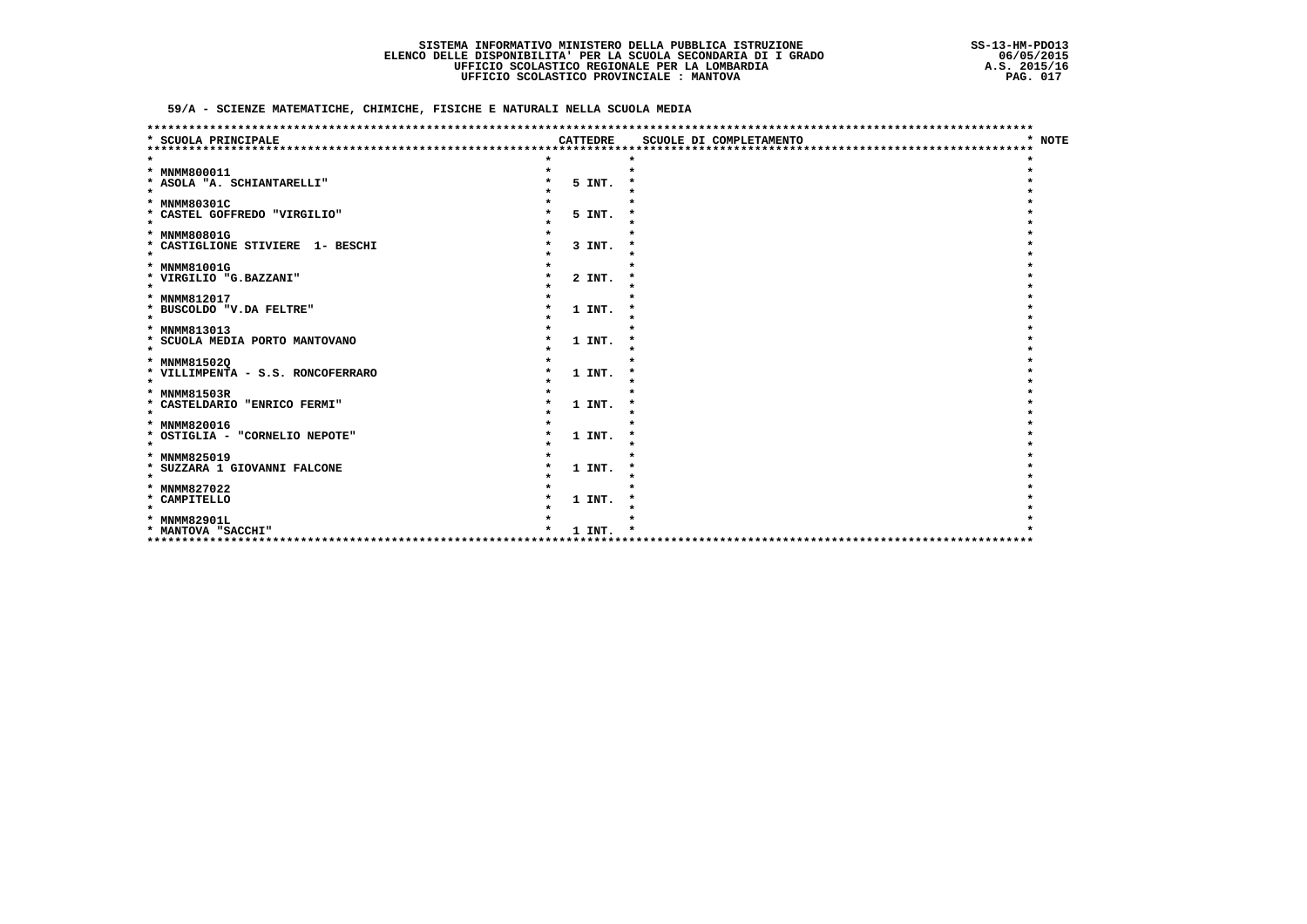59/A - SCIENZE MATEMATICHE, CHIMICHE, FISICHE E NATURALI NELLA SCUOLA MEDIA

| SCUOLA PRINCIPALE                            | <b>CATTEDRE</b> | SCUOLE DI COMPLETAMENTO | <b>NOTE</b> |
|----------------------------------------------|-----------------|-------------------------|-------------|
|                                              |                 |                         |             |
|                                              |                 |                         |             |
| * MNMM800011                                 |                 |                         |             |
| * ASOLA "A. SCHIANTARELLI"                   | 5 INT.          |                         |             |
| $\star$                                      |                 |                         |             |
| * MNMM80301C<br>* CASTEL GOFFREDO "VIRGILIO" | 5 INT.          |                         |             |
| $\star$                                      |                 |                         |             |
| * MNMM80801G                                 |                 |                         |             |
| * CASTIGLIONE STIVIERE 1- BESCHI             | 3 INT.          |                         |             |
| $\star$                                      |                 |                         |             |
| * MNMM81001G                                 |                 |                         |             |
| * VIRGILIO "G.BAZZANI"<br>$\star$            | 2 INT.          |                         |             |
| * MNMM812017                                 |                 |                         |             |
| * BUSCOLDO "V.DA FELTRE"                     | 1 INT.          |                         |             |
| $\star$                                      |                 |                         |             |
| * MNMM813013                                 |                 |                         |             |
| * SCUOLA MEDIA PORTO MANTOVANO<br>$\star$    | 1 INT.          |                         |             |
| * MNMM815020                                 |                 |                         |             |
| * VILLIMPENTA - S.S. RONCOFERRARO            | 1 INT.          |                         |             |
| $\star$                                      |                 |                         |             |
| * MNMM81503R                                 |                 |                         |             |
| * CASTELDARIO "ENRICO FERMI"                 | 1 INT.          |                         |             |
| $\star$                                      |                 |                         |             |
| * MNMM820016                                 |                 |                         |             |
| * OSTIGLIA - "CORNELIO NEPOTE"<br>$\star$    | 1 INT.          |                         |             |
| <b>MNMM825019</b><br>$\star$                 |                 |                         |             |
| * SUZZARA 1 GIOVANNI FALCONE                 | 1 INT.          |                         |             |
| $\star$                                      |                 |                         |             |
| * MNMM827022                                 |                 |                         |             |
| * CAMPITELLO<br>$\star$                      | 1 INT.          |                         |             |
| * MNMM82901L                                 |                 |                         |             |
| * MANTOVA "SACCHI"                           | 1 INT.          |                         |             |
|                                              |                 |                         |             |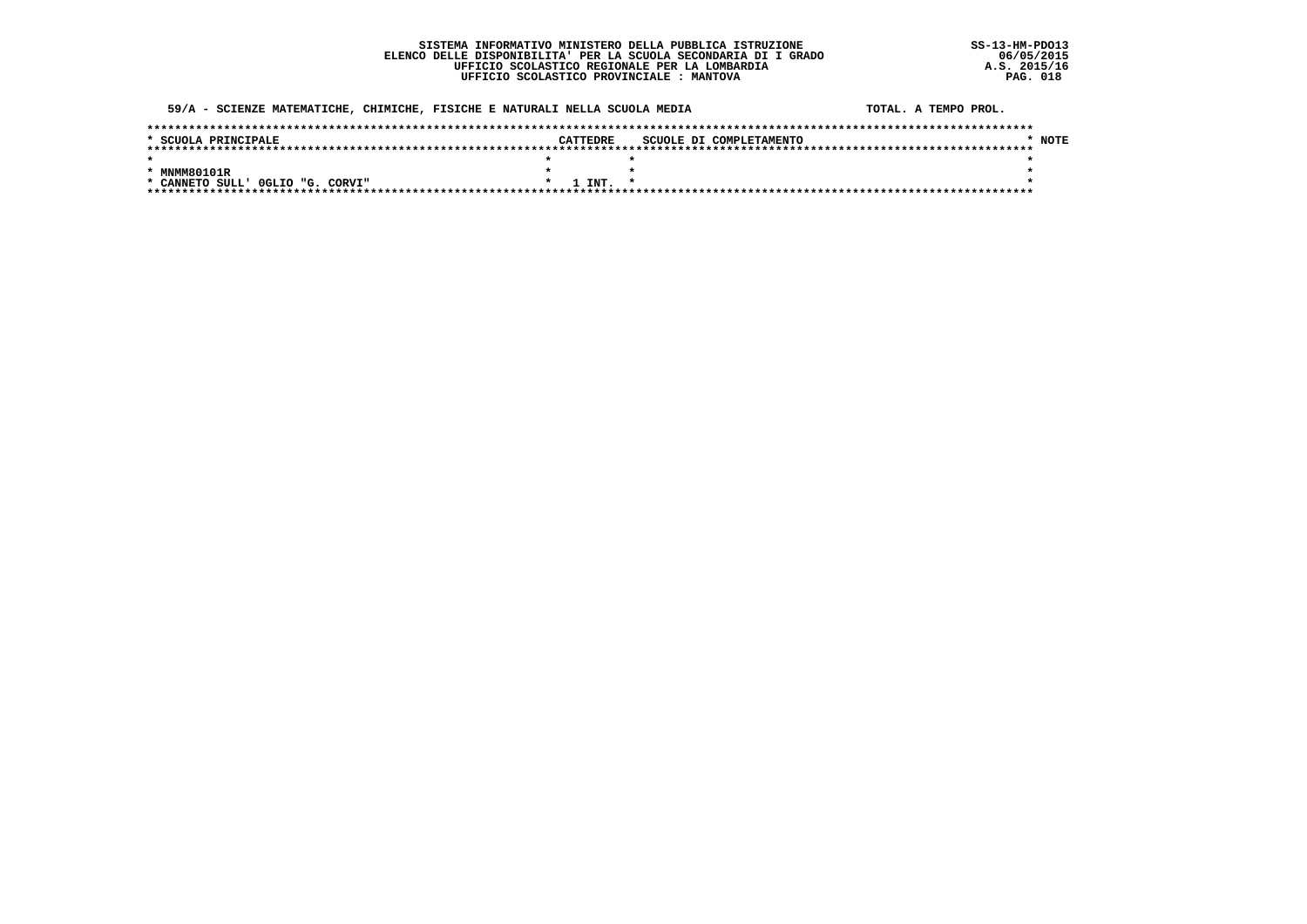### 59/A - SCIENZE MATEMATICHE, CHIMICHE, FISICHE E NATURALI NELLA SCUOLA MEDIA

|  | TOTAL. A TEMPO PROL. |  |
|--|----------------------|--|
|  |                      |  |

| * SCUOLA PRINCIPALE              | CATTEDRE     | SCUOLE DI COMPLETAMENTO | <b>NOTE</b> |  |  |  |
|----------------------------------|--------------|-------------------------|-------------|--|--|--|
|                                  |              |                         |             |  |  |  |
|                                  |              |                         |             |  |  |  |
| * MNMM80101R                     |              |                         |             |  |  |  |
| * CANNETO SULL' OGLIO "G. CORVI" | $1$ INT. $*$ |                         |             |  |  |  |
|                                  |              |                         |             |  |  |  |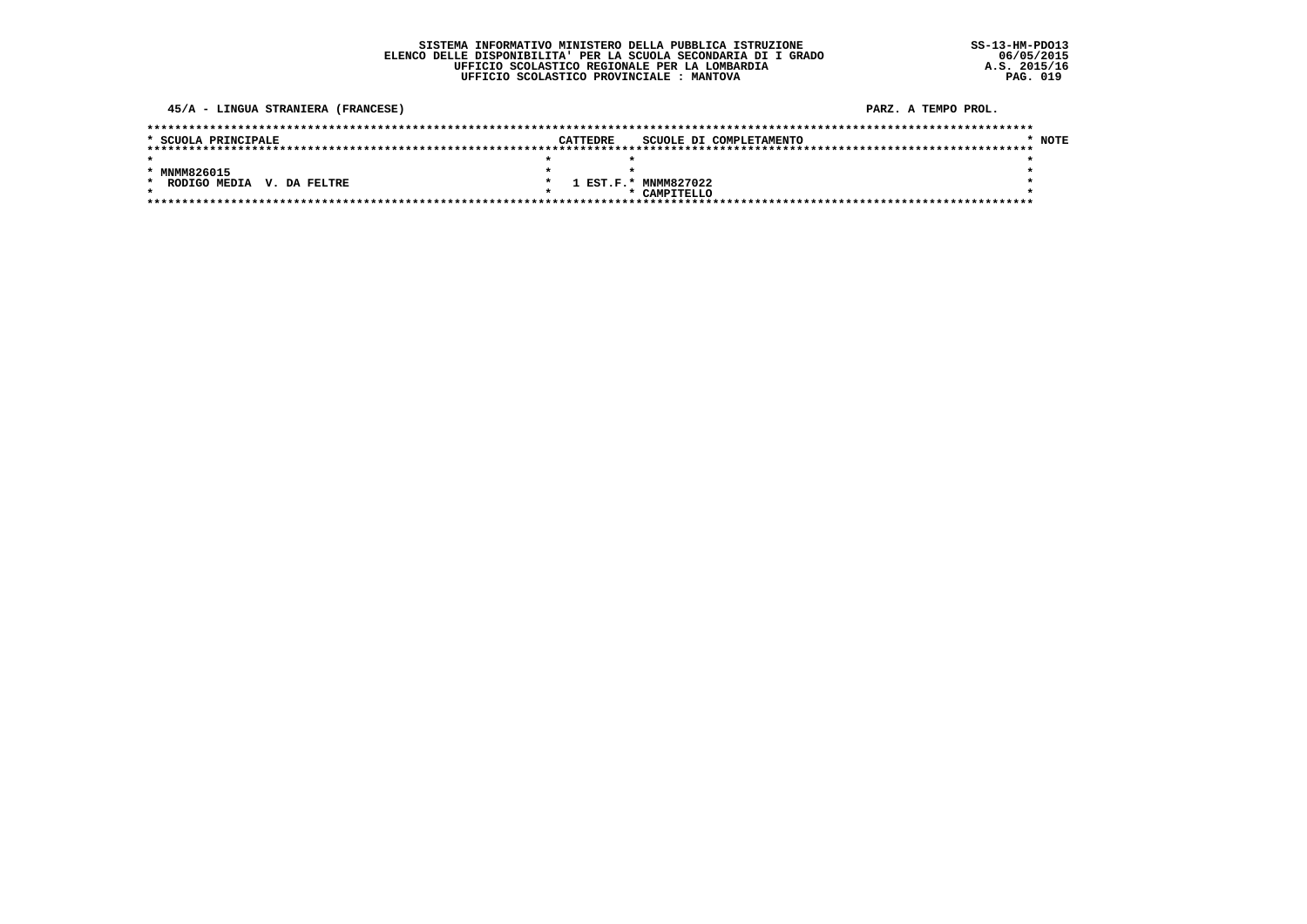### SISTEMA INFORMATIVO MINISTERO DELLA PUBBLICA ISTRUZIONE ELENCO DELLE DISPONIBILITA' PER LA SCUOLA SECONDARIA DI I GRADO UFFICIO SCOLASTICO REGIONALE PER LA LOMBARDIA UFFICIO SCOLASTICO PROVINCIALE : MANTOVA

45/A - LINGUA STRANIERA (FRANCESE)

| * SCUOLA PRINCIPALE                  | CATTEDRE | SCUOLE DI COMPLETAMENTO | <b>NOTE</b> |
|--------------------------------------|----------|-------------------------|-------------|
|                                      |          |                         |             |
|                                      |          |                         |             |
| * MNMM826015                         |          |                         |             |
| RODIGO MEDIA V. DA FELTRE<br>$\star$ |          | 1 EST.F.* MNMM827022    |             |
|                                      |          | * CAMPTTELLO            |             |
|                                      |          |                         |             |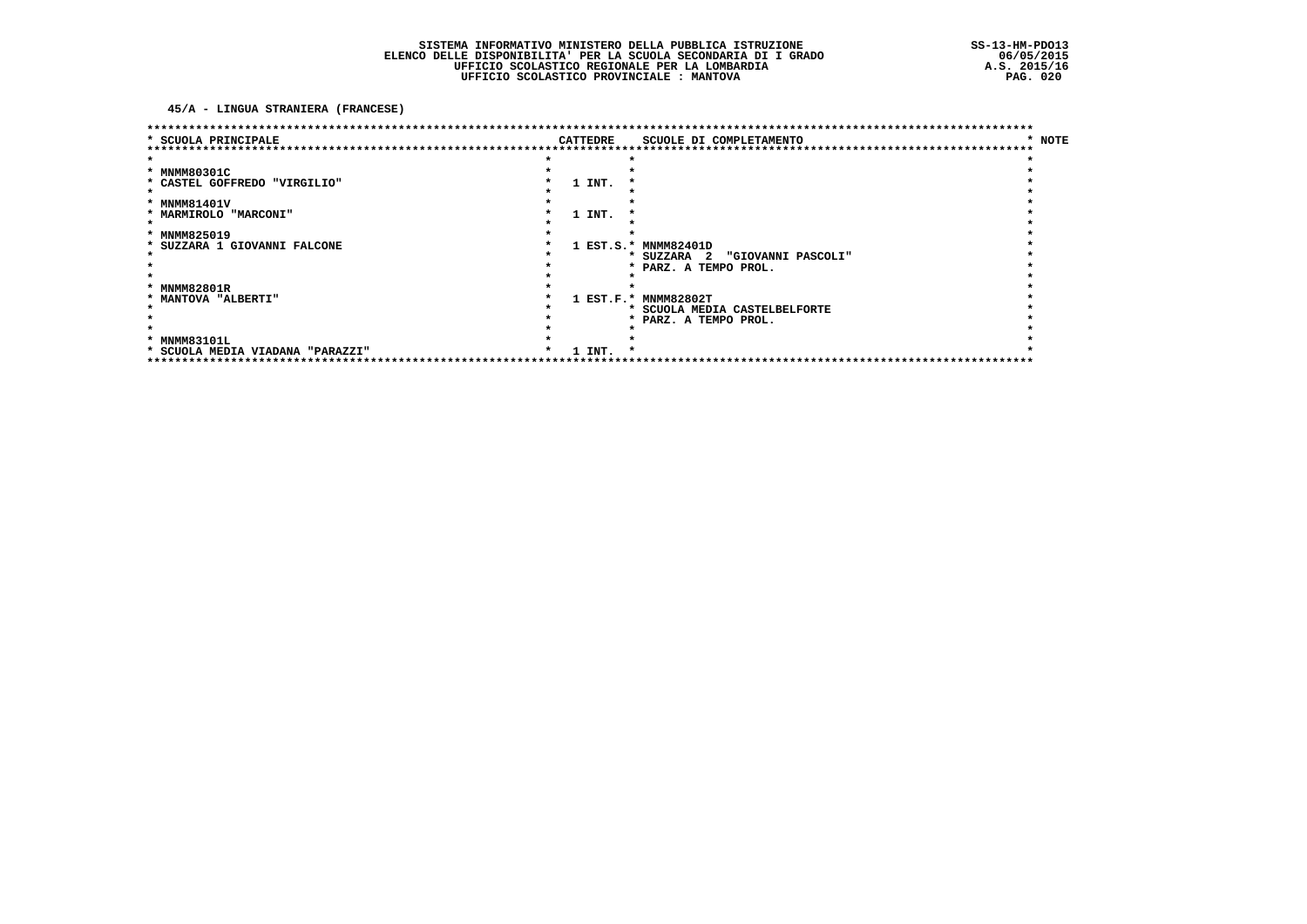45/A - LINGUA STRANIERA (FRANCESE)

| SCUOLA PRINCIPALE              |  | CATTEDRE | SCUOLE DI COMPLETAMENTO           | * NOTE |
|--------------------------------|--|----------|-----------------------------------|--------|
|                                |  |          |                                   |        |
|                                |  |          |                                   |        |
| * MNMM80301C                   |  |          |                                   |        |
| * CASTEL GOFFREDO "VIRGILIO"   |  | 1 INT.   |                                   |        |
|                                |  |          |                                   |        |
| * MNMM81401V                   |  |          |                                   |        |
| * MARMIROLO "MARCONI"          |  | 1 INT.   |                                   |        |
|                                |  |          |                                   |        |
| * MNMM825019                   |  |          |                                   |        |
| * SUZZARA 1 GIOVANNI FALCONE   |  |          | 1 EST.S.* MNMM82401D              |        |
|                                |  |          | * SUZZARA 2 "GIOVANNI PASCOLI"    |        |
|                                |  |          | * PARZ. A TEMPO PROL.             |        |
|                                |  |          |                                   |        |
| * MNMM82801R                   |  |          |                                   |        |
| * MANTOVA "ALBERTI"            |  |          | 1 EST.F.* MNMM82802T              |        |
|                                |  |          | * SCUOLA MEDIA CASTELBELFORTE     |        |
|                                |  |          | PARZ. A TEMPO PROL.               |        |
|                                |  |          |                                   |        |
| * MNMM83101L                   |  |          |                                   |        |
| SCUOLA MEDIA VIADANA "PARAZZI" |  | 1 INT.   |                                   |        |
|                                |  |          | ********************************* |        |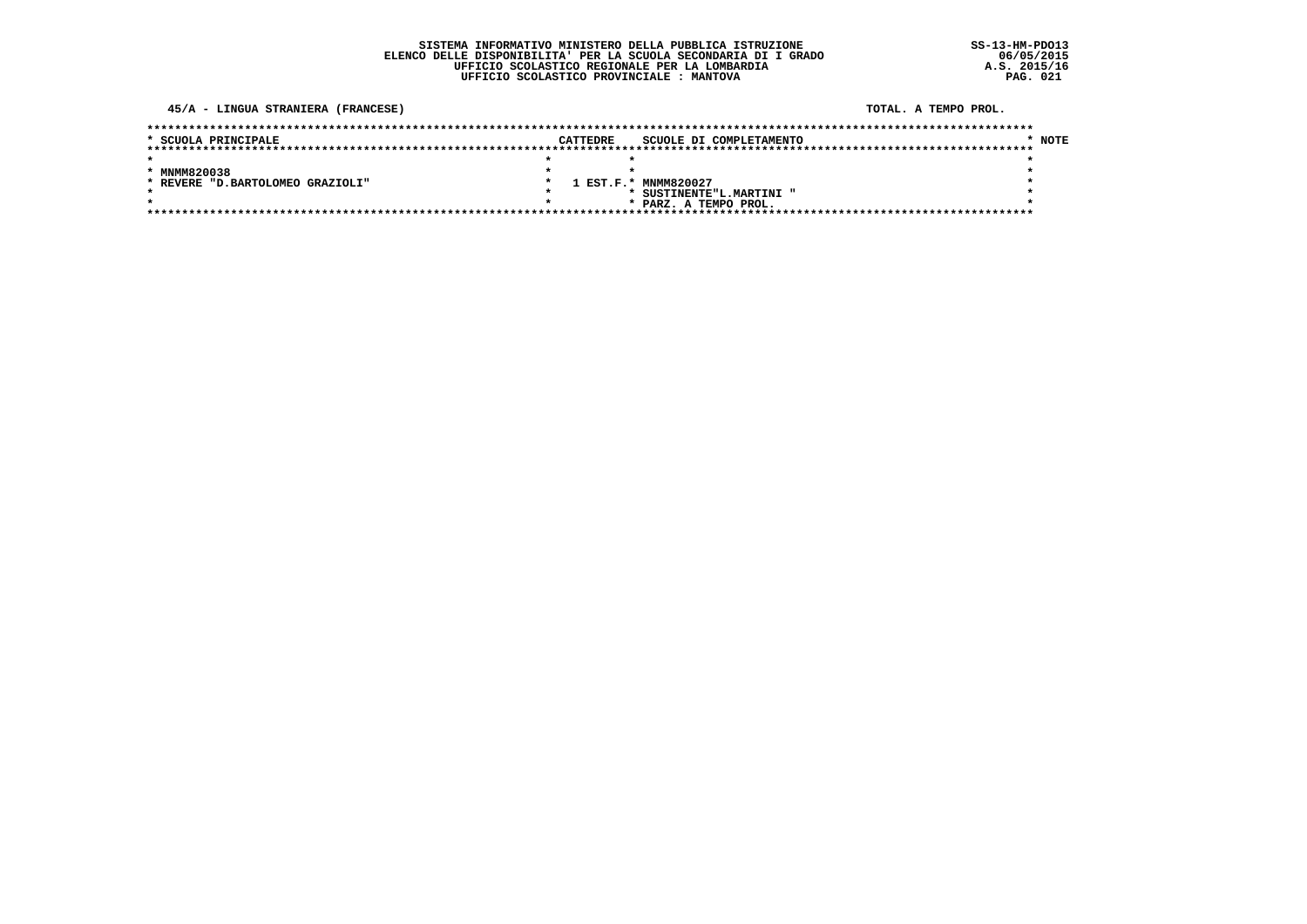### 45/A - LINGUA STRANIERA (FRANCESE)

### TOTAL. A TEMPO PROL.

| * SCUOLA PRINCIPALE               | <b>CATTEDRE</b> | SCUOLE DI COMPLETAMENTO  | * NOTE |
|-----------------------------------|-----------------|--------------------------|--------|
|                                   |                 |                          |        |
|                                   |                 |                          |        |
| * MNMM820038                      |                 |                          |        |
| * REVERE "D. BARTOLOMEO GRAZIOLI" |                 | 1 EST.F.* MNMM820027     |        |
|                                   |                 | * SUSTINENTE"L.MARTINI " |        |
|                                   |                 | * PARZ. A TEMPO PROL.    |        |
|                                   |                 |                          |        |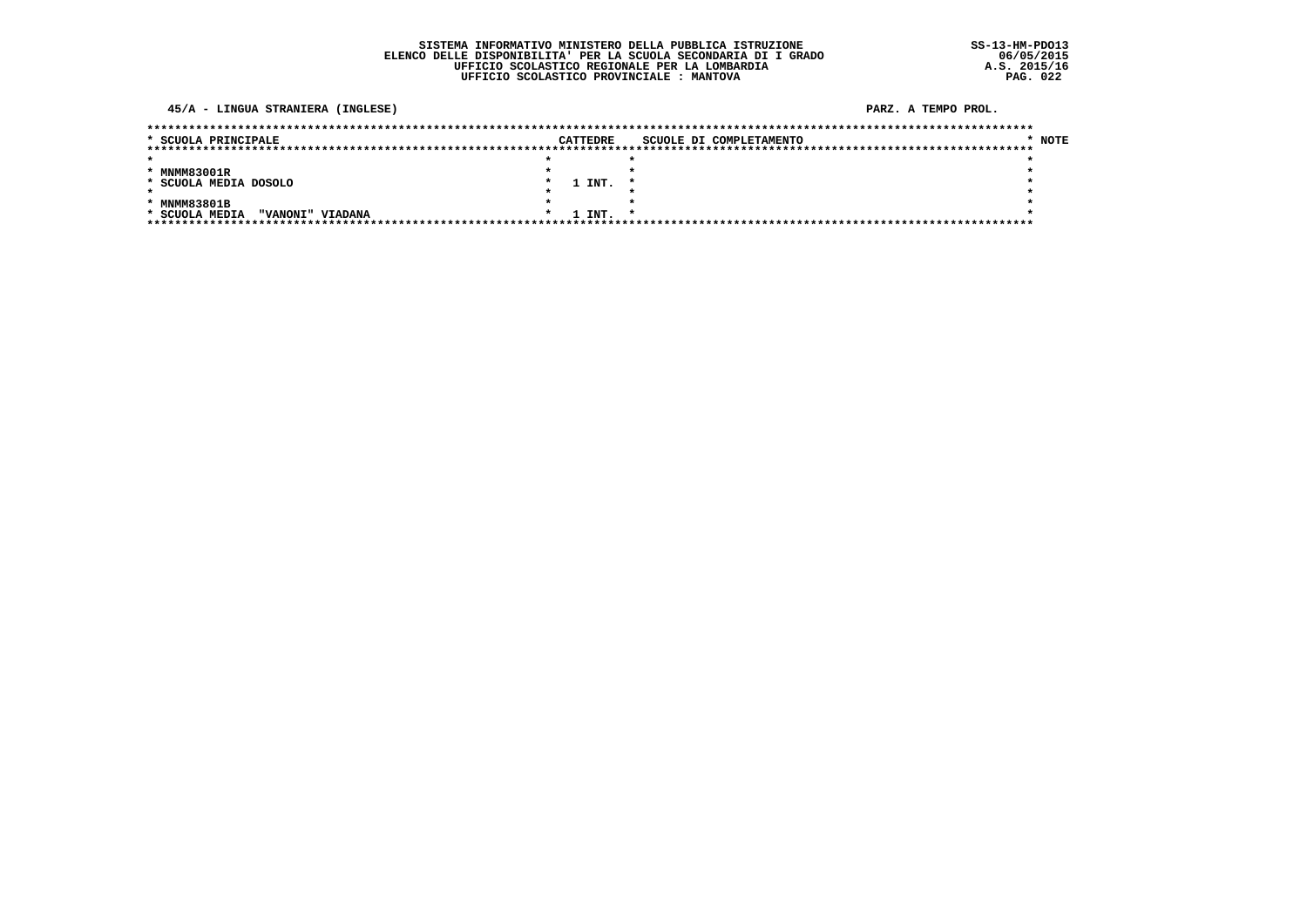### 45/A - LINGUA STRANIERA (INGLESE)

| * SCUOLA PRINCIPALE                | CATTEDRE |             | SCUOLE DI COMPLETAMENTO | * NOTE |
|------------------------------------|----------|-------------|-------------------------|--------|
|                                    |          |             |                         |        |
|                                    |          |             |                         |        |
| * MNMM83001R                       |          |             |                         |        |
| * SCUOLA MEDIA DOSOLO              |          | 1 INT.      |                         |        |
|                                    |          |             |                         |        |
| * MNMM83801B                       |          |             |                         |        |
| * SCUOLA MEDIA<br>"VANONI" VIADANA |          | 1 INT.<br>* |                         |        |
|                                    |          |             |                         |        |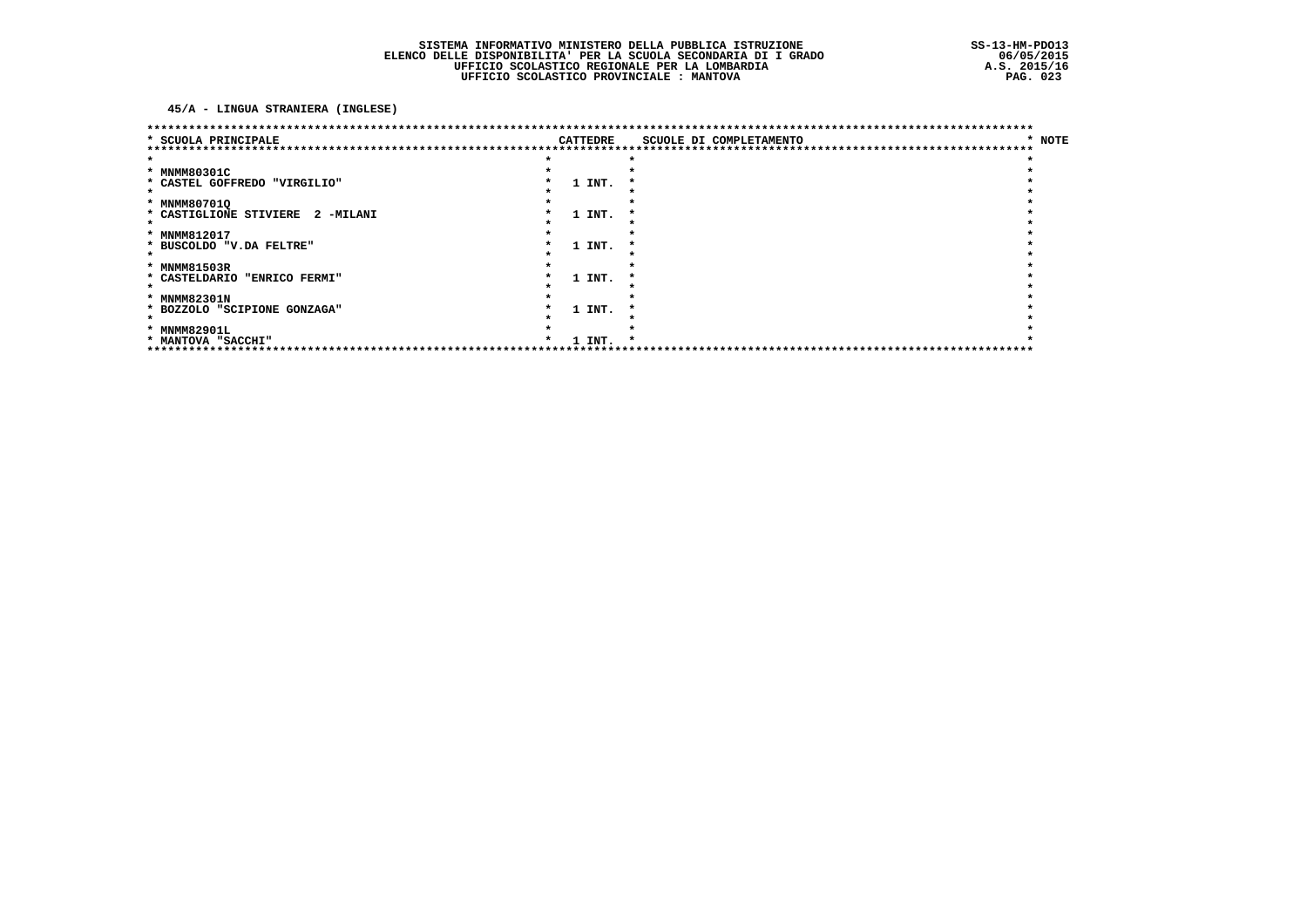45/A - LINGUA STRANIERA (INGLESE)

|                                  |          | ********************************* |        |
|----------------------------------|----------|-----------------------------------|--------|
| * SCUOLA PRINCIPALE              | CATTEDRE | SCUOLE DI COMPLETAMENTO           | * NOTE |
|                                  |          |                                   |        |
| * MNMM80301C                     |          |                                   |        |
| * CASTEL GOFFREDO "VIRGILIO"     | 1 INT.   |                                   |        |
|                                  |          |                                   |        |
| * MNMM80701Q                     |          |                                   |        |
| * CASTIGLIONE STIVIERE 2 -MILANI | 1 INT.   |                                   |        |
|                                  |          |                                   |        |
| * MNMM812017                     |          |                                   |        |
| * BUSCOLDO "V.DA FELTRE"         | 1 INT.   |                                   |        |
|                                  |          |                                   |        |
| * MNMM81503R                     |          |                                   |        |
| * CASTELDARIO "ENRICO FERMI"     | 1 INT.   |                                   |        |
|                                  |          |                                   |        |
| * MNMM82301N                     |          |                                   |        |
| * BOZZOLO "SCIPIONE GONZAGA"     | 1 INT.   |                                   |        |
|                                  |          |                                   |        |
| * MNMM82901L                     |          |                                   |        |
| * MANTOVA "SACCHI"               | 1 INT.   |                                   |        |
|                                  |          |                                   |        |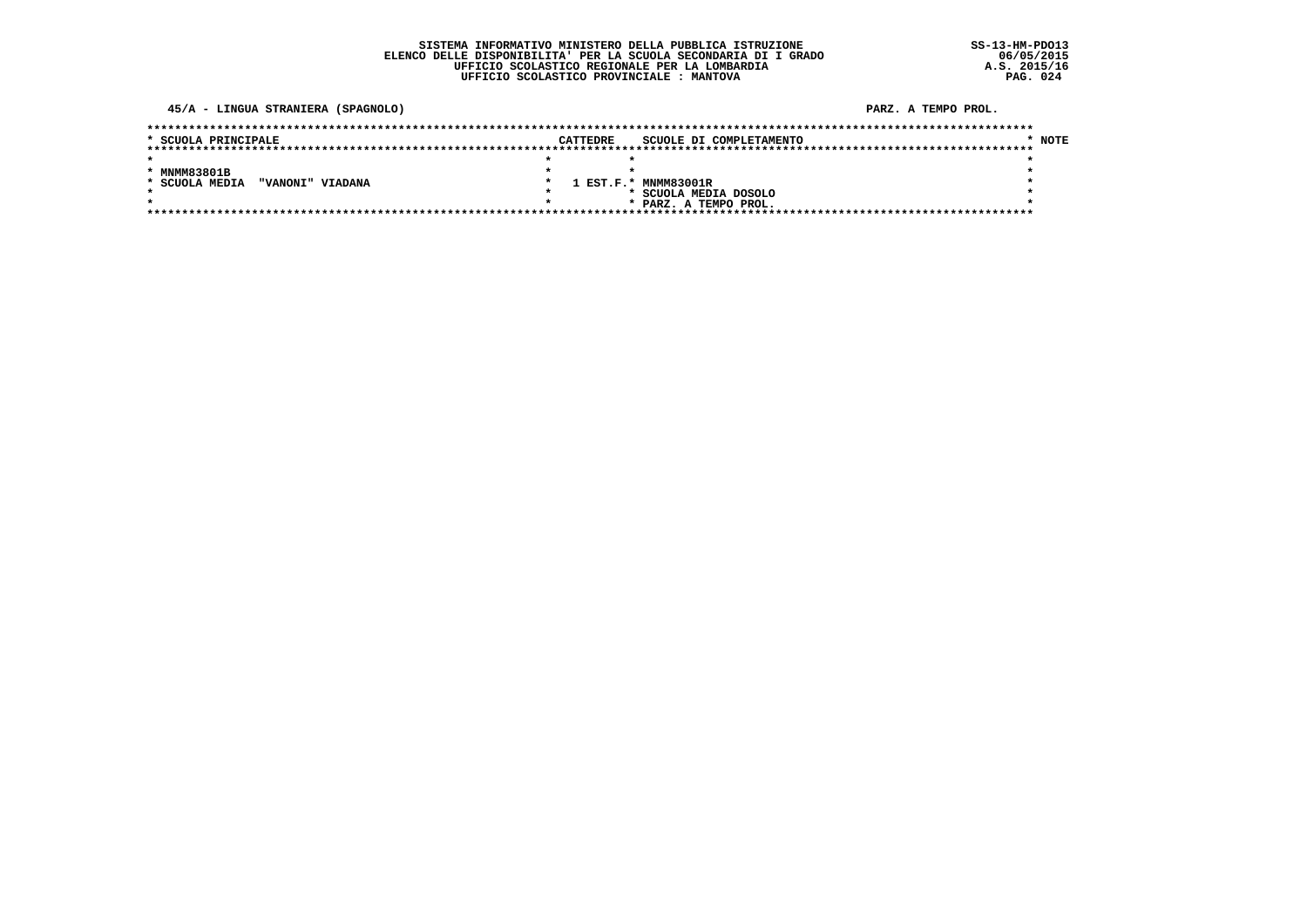### SISTEMA INFORMATIVO MINISTERO DELLA PUBBLICA ISTRUZIONE ELENCO DELLE DISPONIBILITA' PER LA SCUOLA SECONDARIA DI I GRADO UFFICIO SCOLASTICO REGIONALE PER LA LOMBARDIA UFFICIO SCOLASTICO PROVINCIALE : MANTOVA

45/A - LINGUA STRANIERA (SPAGNOLO)

| * SCUOLA PRINCIPALE                | CATTEDRE | SCUOLE DI COMPLETAMENTO | NOTE |  |  |  |  |  |
|------------------------------------|----------|-------------------------|------|--|--|--|--|--|
|                                    |          |                         |      |  |  |  |  |  |
|                                    |          |                         |      |  |  |  |  |  |
| * MNMM83801B                       |          |                         |      |  |  |  |  |  |
| * SCUOLA MEDIA<br>"VANONI" VIADANA |          | 1 EST.F.* MNMM83001R    |      |  |  |  |  |  |
|                                    |          | SCUOLA MEDIA DOSOLO     |      |  |  |  |  |  |
|                                    |          | * PARZ. A TEMPO PROL.   |      |  |  |  |  |  |
|                                    |          |                         |      |  |  |  |  |  |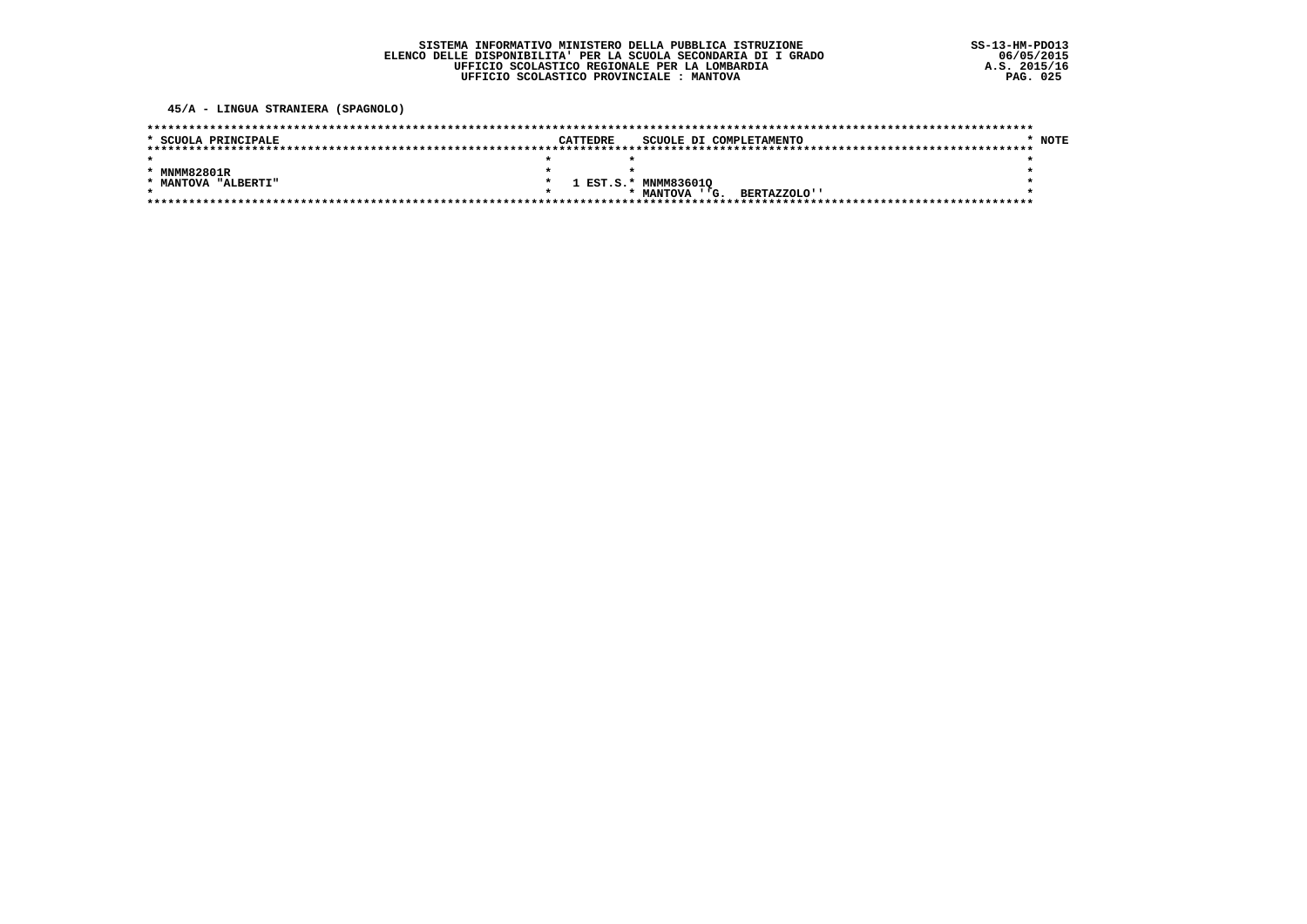45/A - LINGUA STRANIERA (SPAGNOLO)

| * SCUOLA PRINCIPALE | <b>CATTEDRE</b> |                      | SCUOLE DI COMPLETAMENTO | <b>NOTE</b> |
|---------------------|-----------------|----------------------|-------------------------|-------------|
|                     |                 |                      |                         |             |
|                     |                 |                      |                         |             |
| * MNMM82801R        |                 |                      |                         |             |
| * MANTOVA "ALBERTI" |                 | 1 EST.S.* MNMM836010 |                         |             |
|                     |                 | * MANTOVA ''G.       | BERTAZZOLO''            |             |
|                     |                 |                      |                         |             |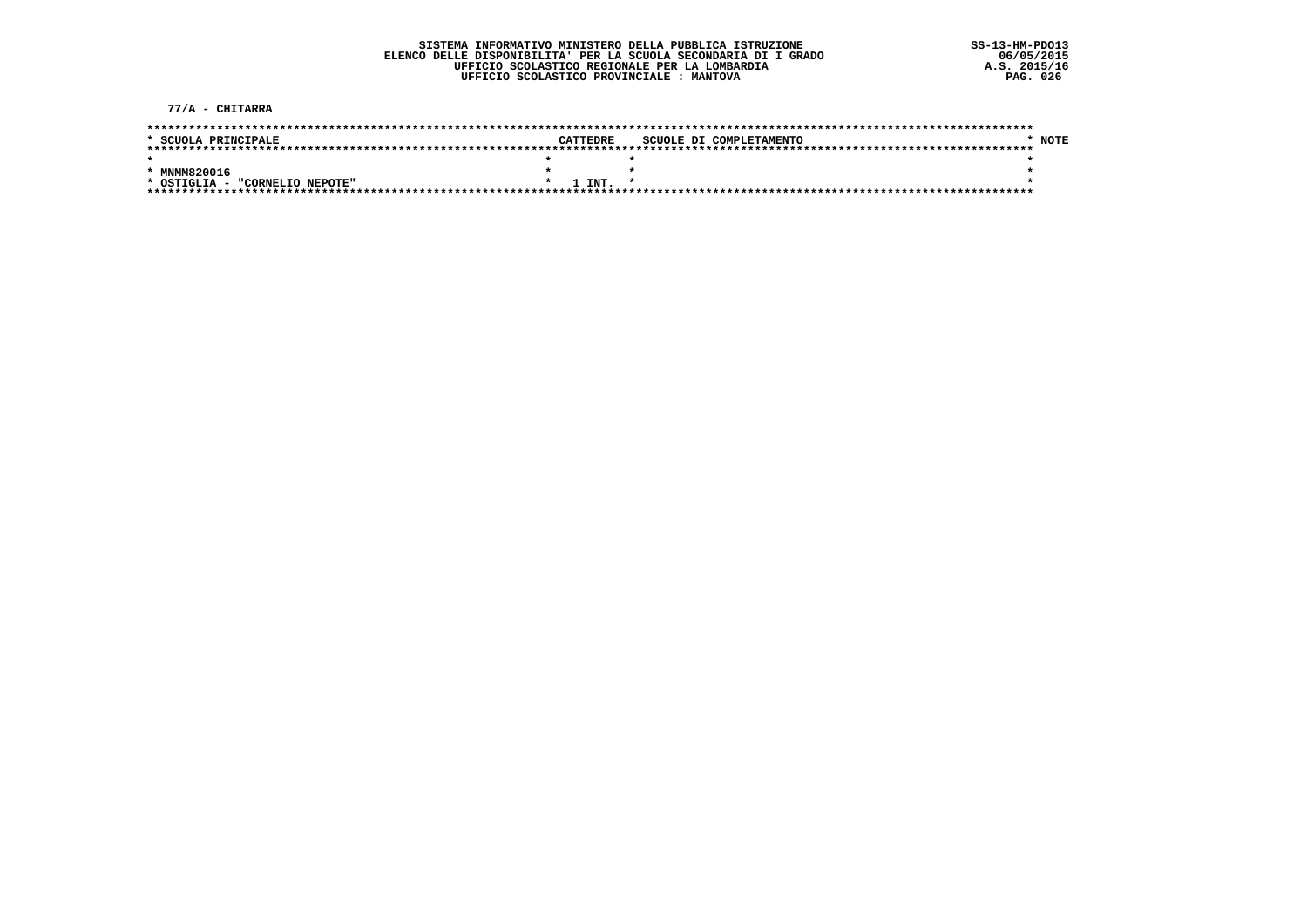77/A - CHITARRA

| * SCUOLA PRINCIPALE            | CATTEDRE      | SCUOLE DI COMPLETAMENTO |  | NOTE |
|--------------------------------|---------------|-------------------------|--|------|
|                                |               |                         |  |      |
|                                |               |                         |  |      |
|                                |               |                         |  |      |
| * MNMM820016                   |               |                         |  |      |
| * OSTIGLIA - "CORNELIO NEPOTE" | <b>I TNT.</b> |                         |  |      |
|                                |               |                         |  |      |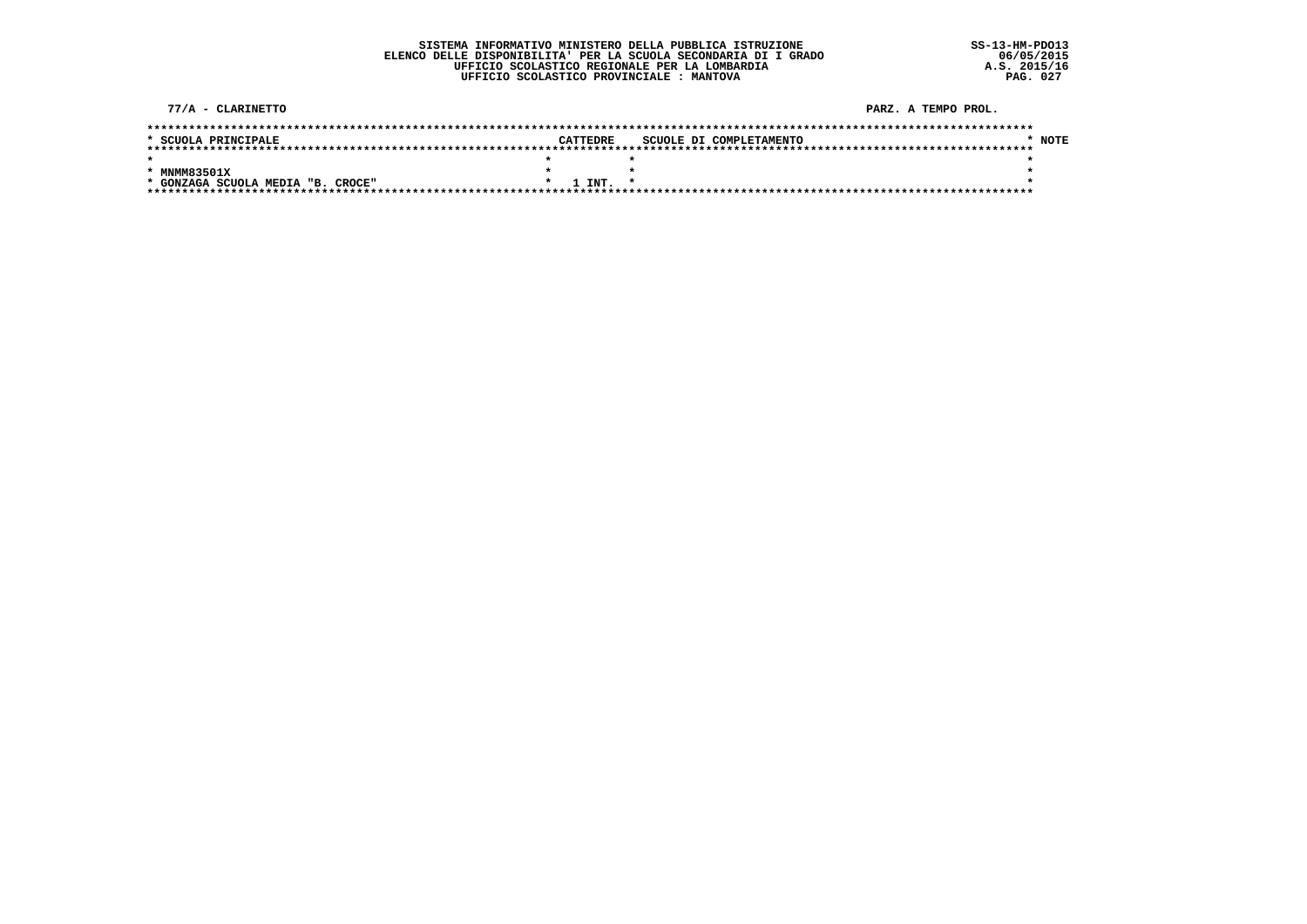#### SISTEMA INFORMATIVO MINISTERO DELLA PUBBLICA ISTRUZIONE ELENCO DELLE DISPONIBILITA' PER LA SCUOLA SECONDARIA DI I GRADO UFFICIO SCOLASTICO REGIONALE PER LA LOMBARDIA UFFICIO SCOLASTICO PROVINCIALE : MANTOVA

77/A - CLARINETTO PARZ, A TEMPO PROL.  $*$  NOTE \* SCUOLA PRINCIPALE CATTEDRE SCUOLE DI COMPLETAMENTO  $\star$  $\star$   $\star$  $\star$ \* MNMM83501X  $\star$  $\star$  $\bullet$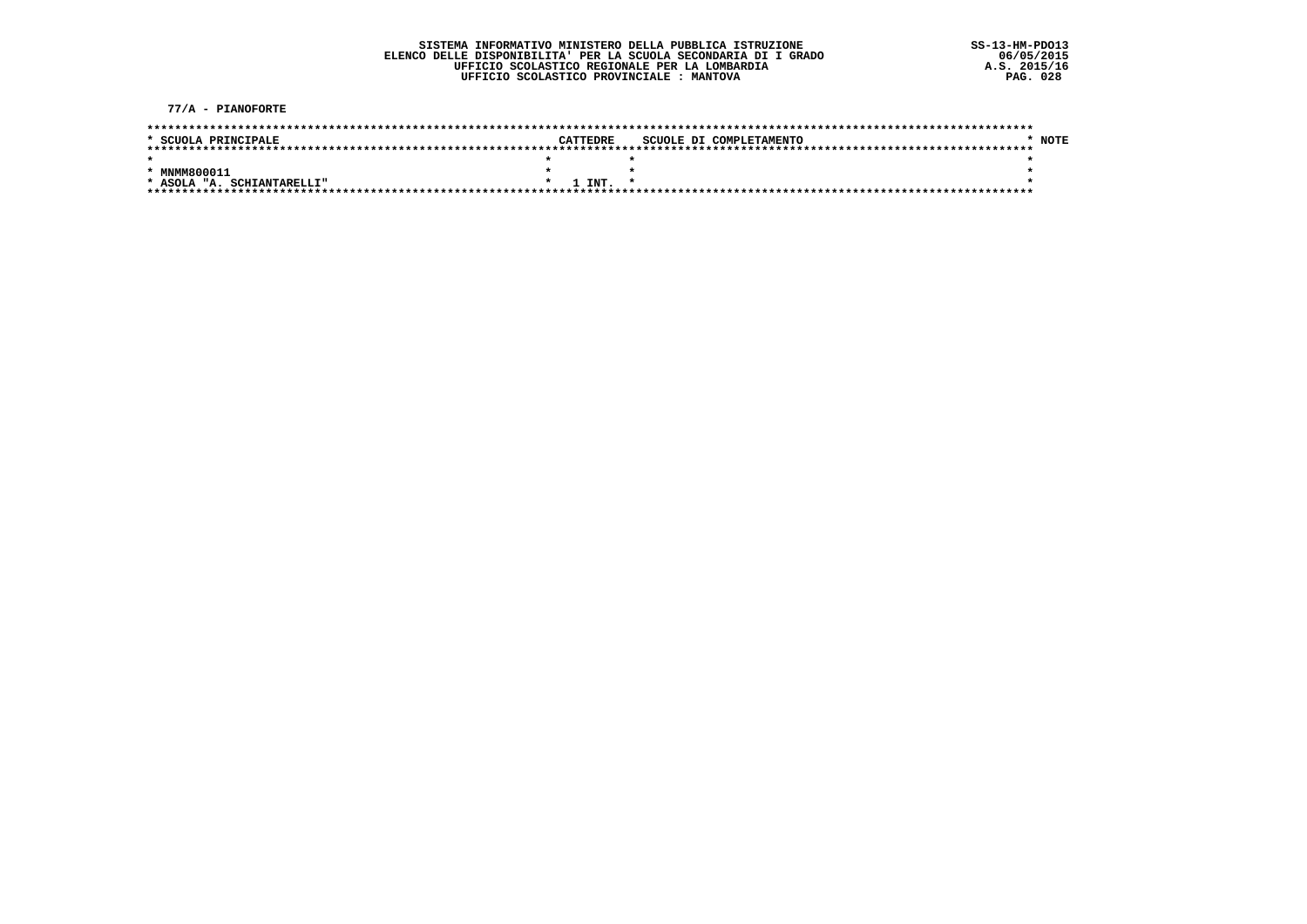77/A - PIANOFORTE

| * SCUOLA PRINCIPALE        | CATTEDRE         |  | SCUOLE DI COMPLETAMENTO |  | NOTE |
|----------------------------|------------------|--|-------------------------|--|------|
|                            |                  |  |                         |  |      |
|                            |                  |  |                         |  |      |
| * MNMM800011               |                  |  |                         |  |      |
|                            |                  |  |                         |  |      |
| * ASOLA "A. SCHIANTARELLI" | $1$ INT. $\cdot$ |  |                         |  |      |
|                            |                  |  |                         |  |      |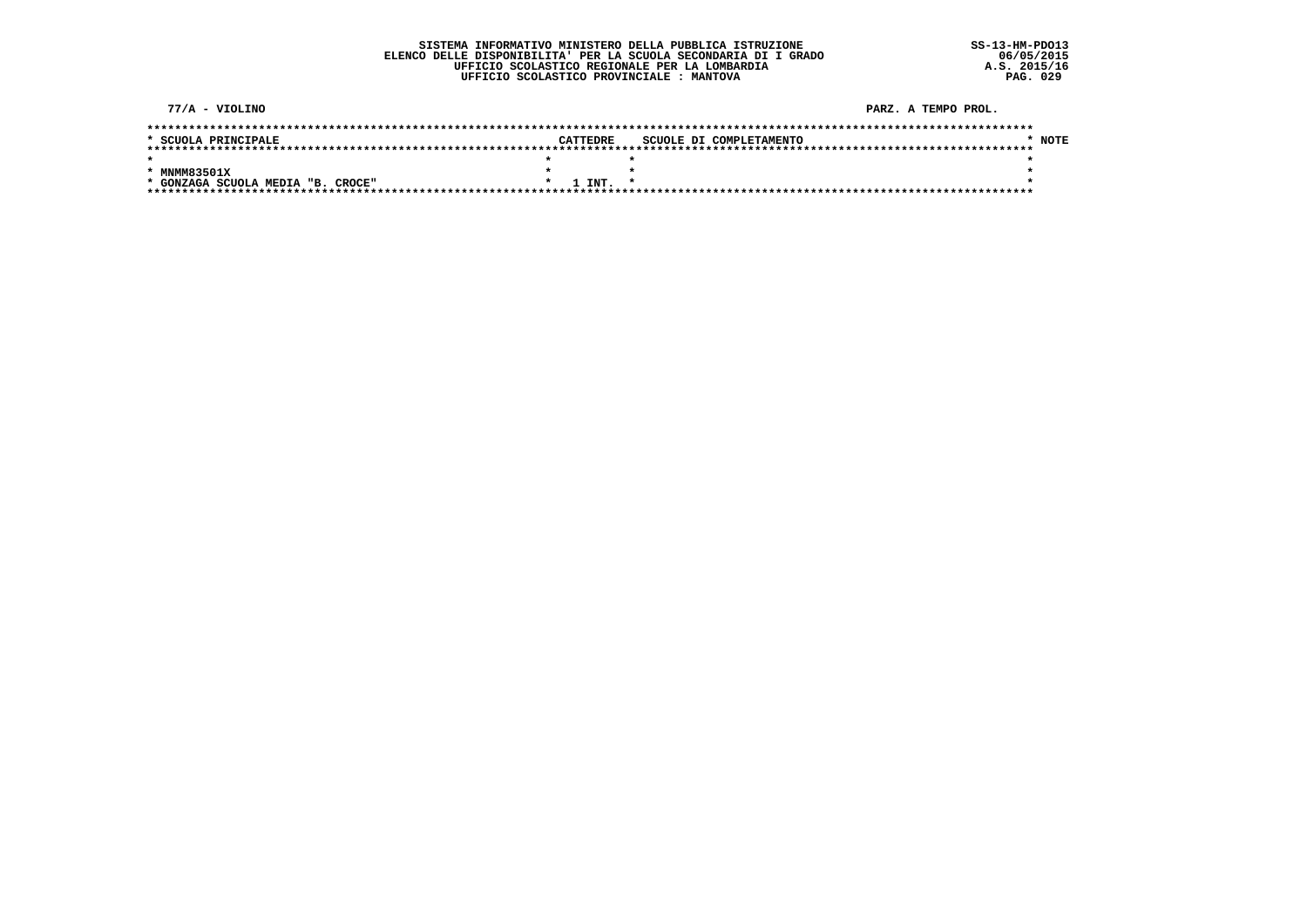#### SISTEMA INFORMATIVO MINISTERO DELLA PUBBLICA ISTRUZIONE ELENCO DELLE DISPONIBILITA' PER LA SCUOLA SECONDARIA DI I GRADO UFFICIO SCOLASTICO REGIONALE PER LA LOMBARDIA UFFICIO SCOLASTICO PROVINCIALE : MANTOVA

 $77/A - VIOLINO$ PARZ, A TEMPO PROL. \* SCUOLA PRINCIPALE CATTEDRE SCUOLE DI COMPLETAMENTO  $*$  NOTE  $\star$  $\star$   $\star$  $\star$ \* MNMM83501X  $\star$  $\star$  $\bullet$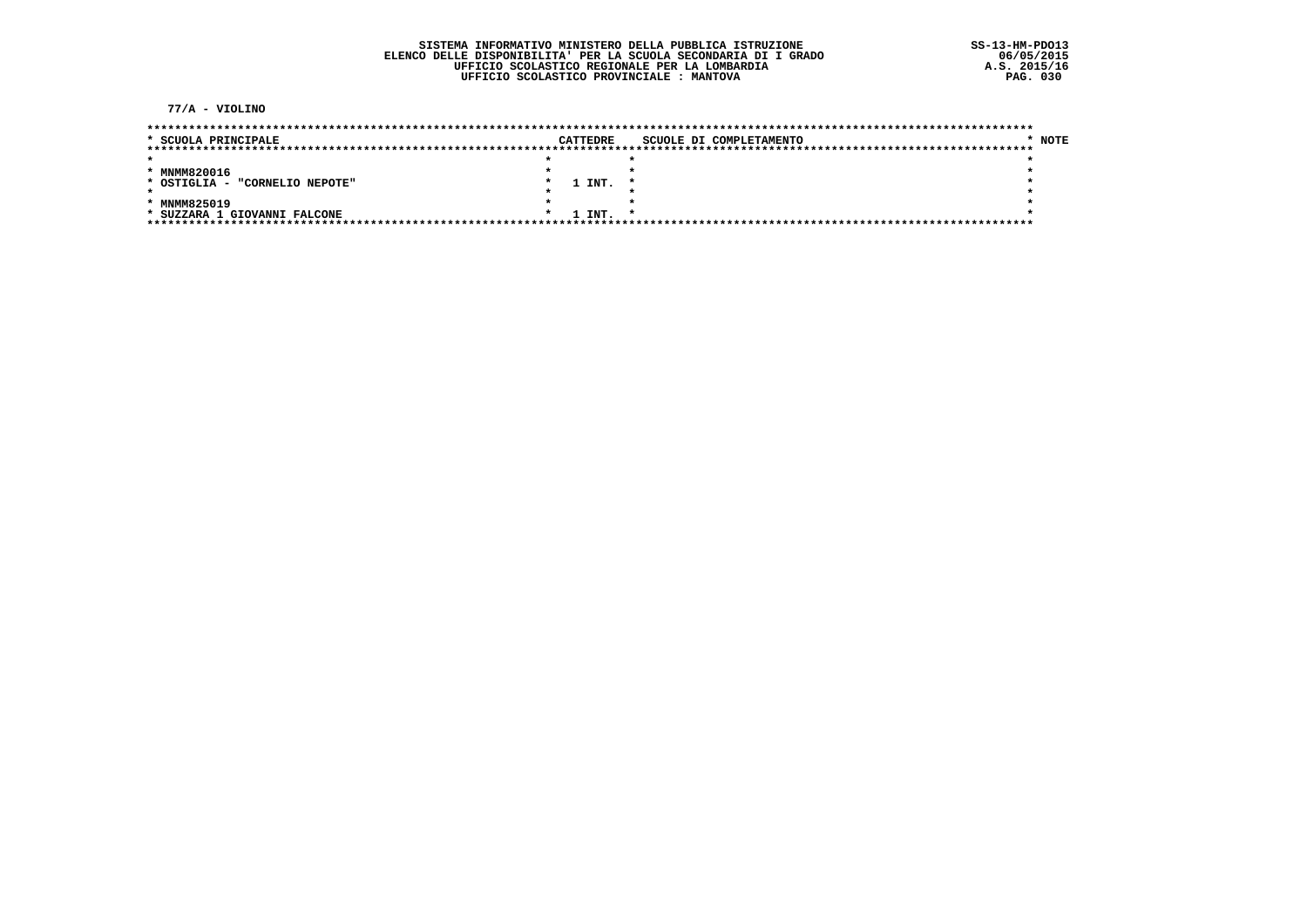77/A - VIOLINO

| * SCUOLA PRINCIPALE               |  | CATTEDRE | SCUOLE DI COMPLETAMENTO | NOTE |
|-----------------------------------|--|----------|-------------------------|------|
|                                   |  |          |                         |      |
|                                   |  |          |                         |      |
| * MNMM820016                      |  |          |                         |      |
| "CORNELIO NEPOTE"<br>* OSTIGLIA - |  | 1 INT.   |                         |      |
|                                   |  |          |                         |      |
| * MNMM825019                      |  |          |                         |      |
| * SUZZARA 1 GIOVANNI FALCONE      |  | 1 INT.   |                         |      |
|                                   |  |          |                         |      |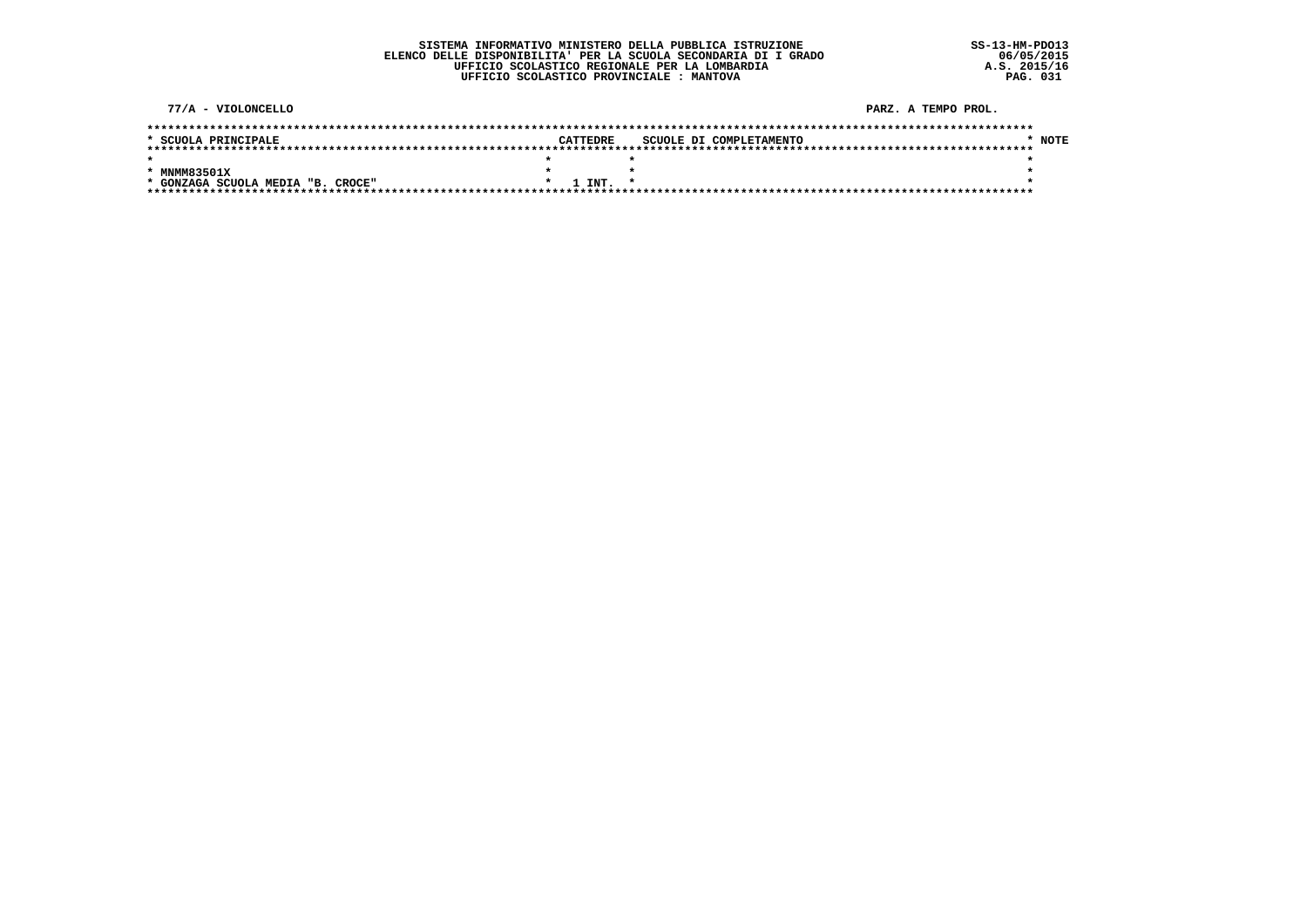#### SISTEMA INFORMATIVO MINISTERO DELLA PUBBLICA ISTRUZIONE ELENCO DELLE DISPONIBILITA' PER LA SCUOLA SECONDARIA DI I GRADO UFFICIO SCOLASTICO REGIONALE PER LA LOMBARDIA UFFICIO SCOLASTICO PROVINCIALE : MANTOVA

77/A - VIOLONCELLO PARZ, A TEMPO PROL.  $*$  NOTE \* SCUOLA PRINCIPALE CATTEDRE SCUOLE DI COMPLETAMENTO  $\star$  $\star$   $\star$  $\star$ \* MNMM83501X  $\star$  $\star$  $\bullet$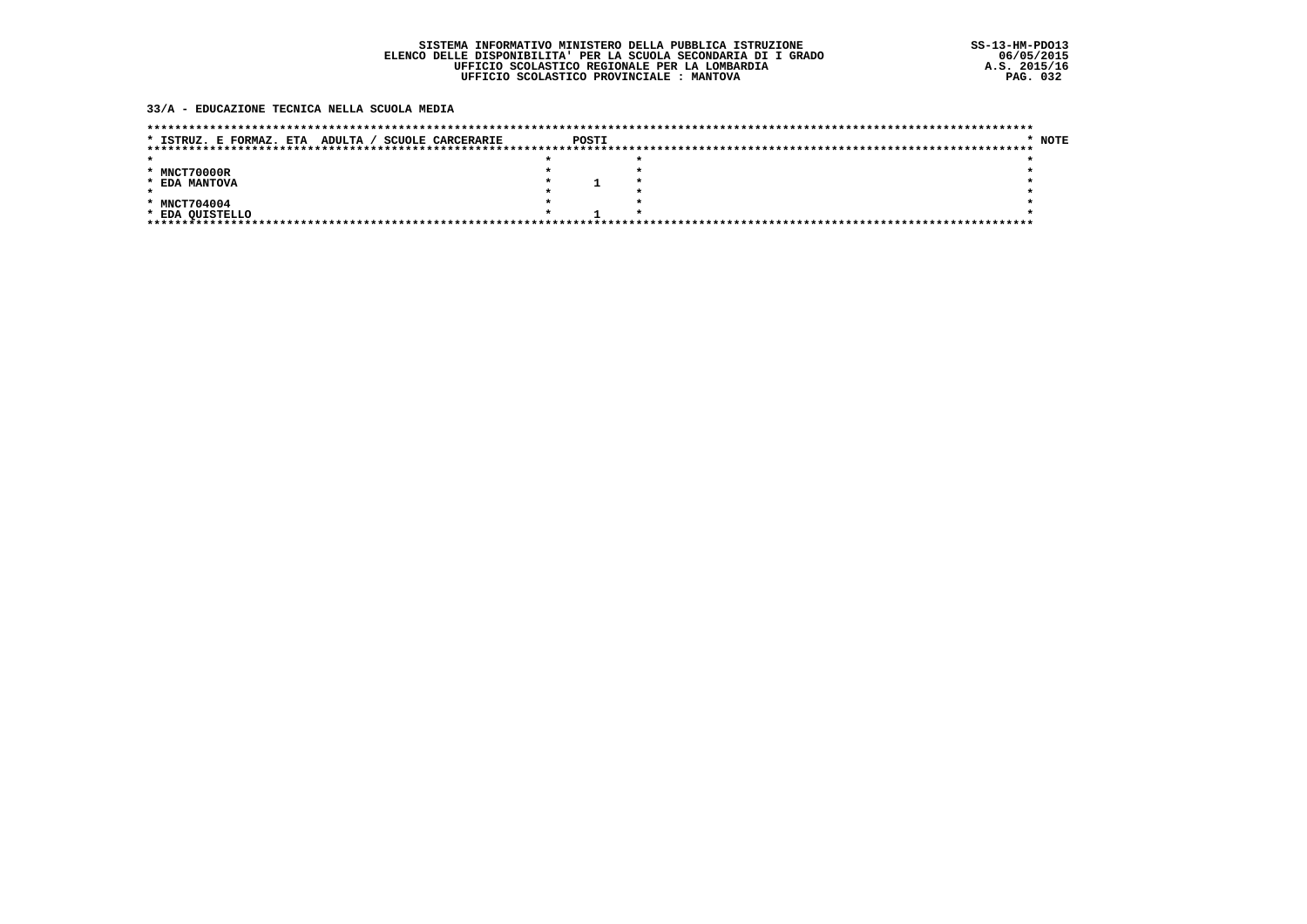#### 33/A - EDUCAZIONE TECNICA NELLA SCUOLA MEDIA

| <b>SCUOLE CARCERARIE</b><br>ADULTA /<br>* ISTRUZ. E FORMAZ. ETA | POSTI | * NOTE |
|-----------------------------------------------------------------|-------|--------|
|                                                                 |       |        |
|                                                                 |       |        |
| * MNCT70000R                                                    |       |        |
| * EDA MANTOVA                                                   |       |        |
|                                                                 |       |        |
| * MNCT704004                                                    |       |        |
| * EDA QUISTELLO                                                 |       |        |
| ********************************                                |       |        |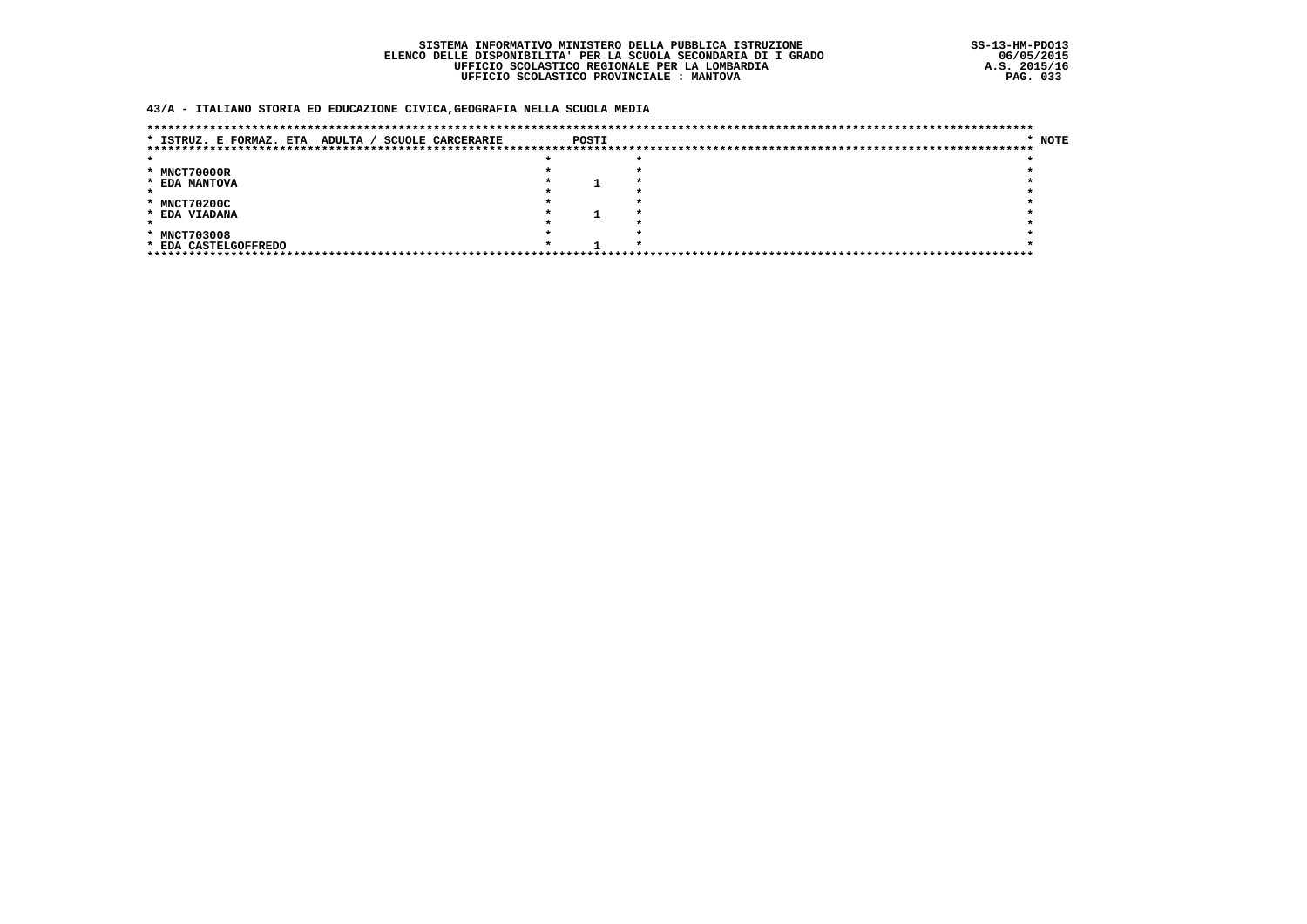### SISTEMA INFORMATIVO MINISTERO DELLA PUBBLICA ISTRUZIONE ELENCO DELLE DISPONIBILITA' PER LA SCUOLA SECONDARIA DI I GRADO UFFICIO SCOLASTICO REGIONALE PER LA LOMBARDIA UFFICIO SCOLASTICO PROVINCIALE : MANTOVA

### 43/A - ITALIANO STORIA ED EDUCAZIONE CIVICA, GEOGRAFIA NELLA SCUOLA MEDIA

| ADULTA /<br>* ISTRUZ. E FORMAZ. ETA | <b>SCUOLE CARCERARIE</b> | POSTI |  | * NOTE |
|-------------------------------------|--------------------------|-------|--|--------|
|                                     |                          |       |  |        |
|                                     |                          |       |  |        |
| * MNCT70000R                        |                          |       |  |        |
| * EDA MANTOVA                       |                          |       |  |        |
|                                     |                          |       |  |        |
| * MNCT70200C                        |                          |       |  |        |
| * EDA VIADANA                       |                          |       |  |        |
|                                     |                          |       |  |        |
| * MNCT703008                        |                          |       |  |        |
| * EDA CASTELGOFFREDO                |                          |       |  |        |
|                                     |                          |       |  |        |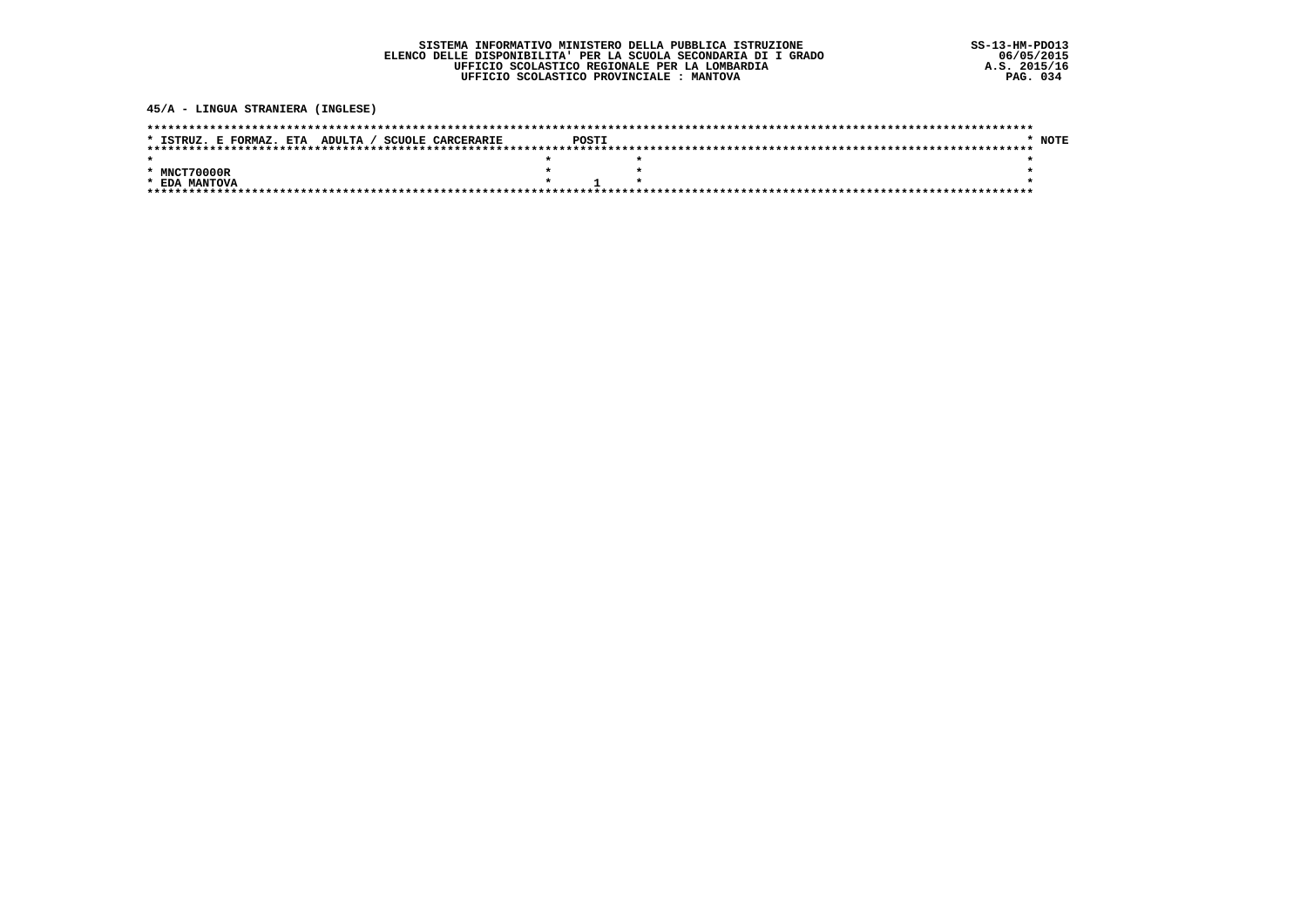45/A - LINGUA STRANIERA (INGLESE)

| * ISTRUZ. E FORMAZ. ETA ADULTA / SCUOLE CARCERARIE | POSTI |  | * NOTE |
|----------------------------------------------------|-------|--|--------|
|                                                    |       |  |        |
|                                                    |       |  |        |
| * MNCT70000R                                       |       |  |        |
| * EDA MANTOVA                                      |       |  |        |
|                                                    |       |  |        |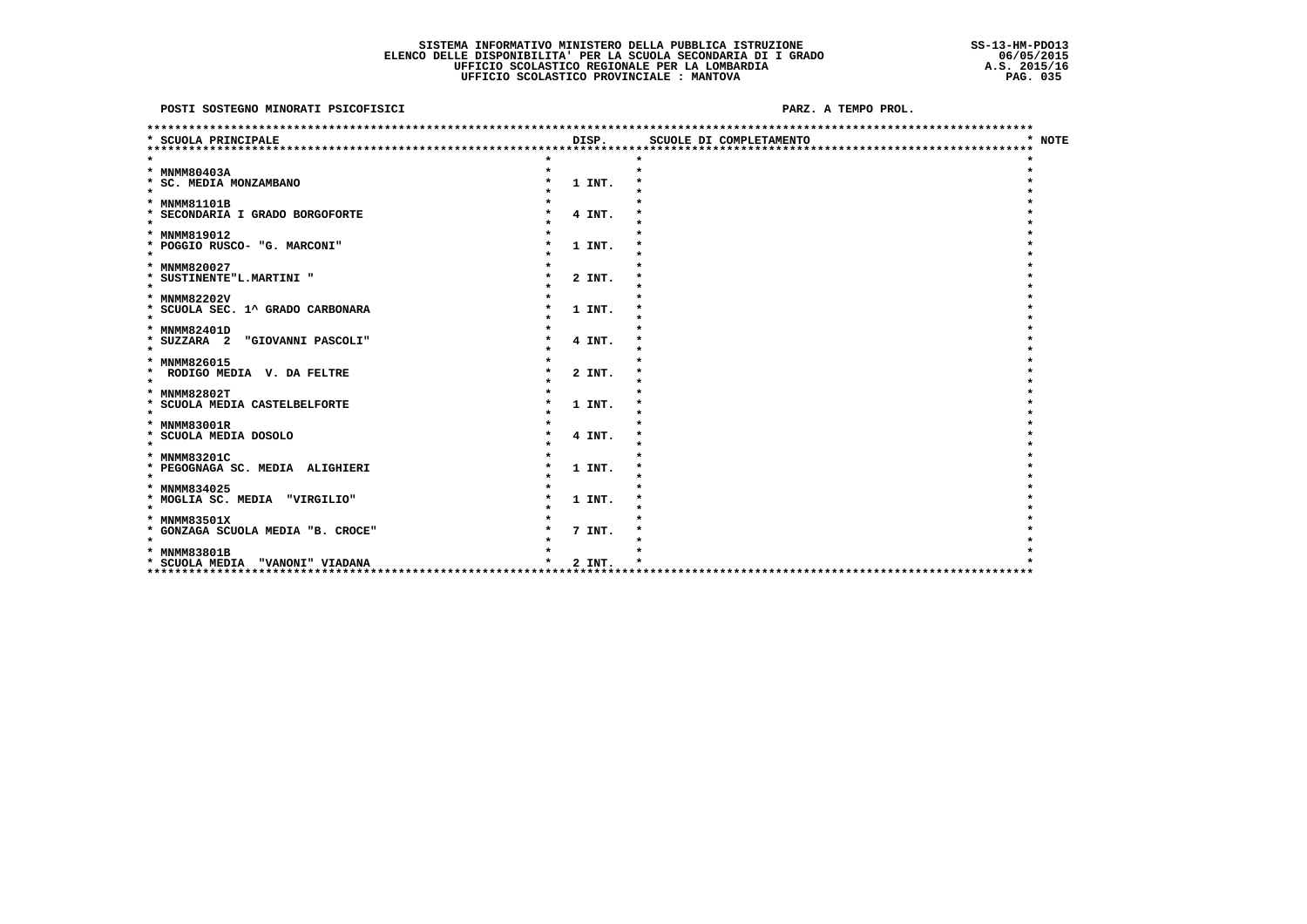| * SCUOLA PRINCIPALE                                              | DISP.  | SCUOLE DI COMPLETAMENTO | * NOTE |
|------------------------------------------------------------------|--------|-------------------------|--------|
|                                                                  |        |                         |        |
|                                                                  |        |                         |        |
| * MNMM80403A                                                     |        |                         |        |
| * SC. MEDIA MONZAMBANO<br>$\star$                                | 1 INT. |                         |        |
|                                                                  |        |                         |        |
| * MNMM81101B<br>* SECONDARIA I GRADO BORGOFORTE                  | 4 INT. |                         |        |
| $\star$                                                          |        |                         |        |
| * MNMM819012                                                     |        |                         |        |
| * POGGIO RUSCO- "G. MARCONI"                                     | 1 INT. |                         |        |
| $\star$                                                          |        |                         |        |
| * MNMM820027                                                     |        |                         |        |
| * SUSTINENTE"L.MARTINI "                                         | 2 INT. |                         |        |
| $\star$                                                          |        |                         |        |
| * MNMM82202V                                                     |        |                         |        |
| * SCUOLA SEC. 1^ GRADO CARBONARA                                 | 1 INT. |                         |        |
| $\star$                                                          |        |                         |        |
| * MNMM82401D                                                     |        |                         |        |
| * SUZZARA 2<br>"GIOVANNI PASCOLI"                                | 4 INT. |                         |        |
| $\star$                                                          |        |                         |        |
| * MNMM826015                                                     |        |                         |        |
| $\star$<br>RODIGO MEDIA V. DA FELTRE<br>$\star$                  | 2 INT. |                         |        |
| * MNMM82802T                                                     |        |                         |        |
| * SCUOLA MEDIA CASTELBELFORTE                                    | 1 INT. |                         |        |
| $\star$                                                          |        |                         |        |
| * MNMM83001R                                                     |        |                         |        |
| * SCUOLA MEDIA DOSOLO                                            | 4 INT. |                         |        |
| $\star$                                                          |        |                         |        |
| * MNMM83201C                                                     |        |                         |        |
| * PEGOGNAGA SC. MEDIA ALIGHIERI                                  | 1 INT. |                         |        |
| $\star$                                                          |        |                         |        |
| * MNMM834025                                                     |        |                         |        |
| * MOGLIA SC. MEDIA<br>"VIRGILIO"                                 | 1 INT. |                         |        |
| $\star$                                                          |        |                         |        |
| * MNMM83501X                                                     |        |                         |        |
| * GONZAGA SCUOLA MEDIA "B. CROCE"                                | 7 INT. |                         |        |
| $\star$                                                          |        |                         |        |
| * MNMM83801B                                                     |        |                         |        |
| * SCUOLA MEDIA "VANONI" VIADANA<br>***************************** | 2 INT. |                         |        |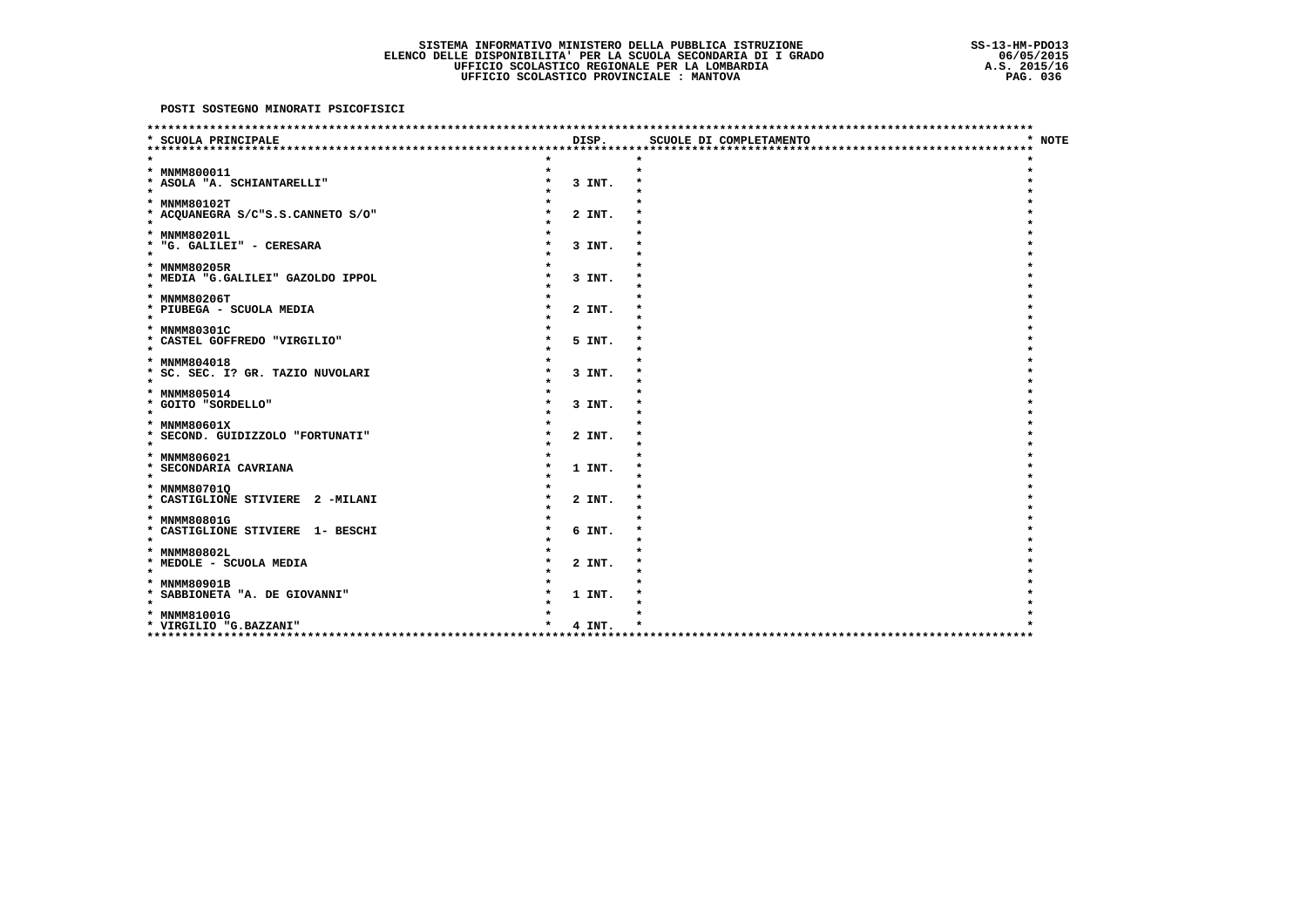| SCUOLA PRINCIPALE                                 | DISP.  | SCUOLE DI COMPLETAMENTO            | * NOTE |
|---------------------------------------------------|--------|------------------------------------|--------|
|                                                   |        |                                    |        |
| * MNMM800011                                      |        |                                    |        |
| * ASOLA "A. SCHIANTARELLI"                        | 3 INT. |                                    |        |
| $\star$                                           |        |                                    |        |
| * MNMM80102T                                      |        |                                    |        |
| * ACQUANEGRA S/C"S.S.CANNETO S/O"                 | 2 INT. |                                    |        |
| $\star$                                           |        |                                    |        |
| * MNMM80201L                                      |        |                                    |        |
| * "G. GALILEI" - CERESARA                         | 3 INT. |                                    |        |
| $\star$                                           |        |                                    |        |
| * MNMM80205R<br>* MEDIA "G.GALILEI" GAZOLDO IPPOL | 3 INT. |                                    |        |
| $\star$                                           |        |                                    |        |
| * MNMM80206T                                      |        |                                    |        |
| * PIUBEGA - SCUOLA MEDIA                          | 2 INT. |                                    |        |
| $\star$                                           |        |                                    |        |
| * MNMM80301C                                      |        |                                    |        |
| * CASTEL GOFFREDO "VIRGILIO"                      | 5 INT. |                                    |        |
| $\star$                                           |        |                                    |        |
| * MNMM804018<br>* SC. SEC. I? GR. TAZIO NUVOLARI  |        |                                    |        |
| $\star$                                           | 3 INT. |                                    |        |
| * MNMM805014                                      |        |                                    |        |
| * GOITO "SORDELLO"                                | 3 INT. |                                    |        |
| $\star$                                           |        |                                    |        |
| * MNMM80601X                                      |        |                                    |        |
| * SECOND. GUIDIZZOLO "FORTUNATI"                  | 2 INT. |                                    |        |
| $\star$                                           |        |                                    |        |
| * MNMM806021<br>* SECONDARIA CAVRIANA             | 1 INT. |                                    |        |
| $\star$                                           |        |                                    |        |
| * MNMM807010                                      |        |                                    |        |
| * CASTIGLIONE STIVIERE 2 -MILANI                  | 2 INT. |                                    |        |
| $\star$                                           |        |                                    |        |
| * MNMM80801G                                      |        |                                    |        |
| * CASTIGLIONE STIVIERE 1- BESCHI                  | 6 INT. |                                    |        |
| $\star$                                           |        |                                    |        |
| * MNMM80802L                                      |        |                                    |        |
| * MEDOLE - SCUOLA MEDIA<br>$\star$                | 2 INT. |                                    |        |
| * MNMM80901B                                      |        |                                    |        |
| * SABBIONETA "A. DE GIOVANNI"                     | 1 INT. |                                    |        |
| $\star$                                           |        |                                    |        |
| * MNMM81001G                                      |        |                                    |        |
| * VIRGILIO "G.BAZZANI"                            | 4 INT. |                                    |        |
|                                                   |        | ********************************** |        |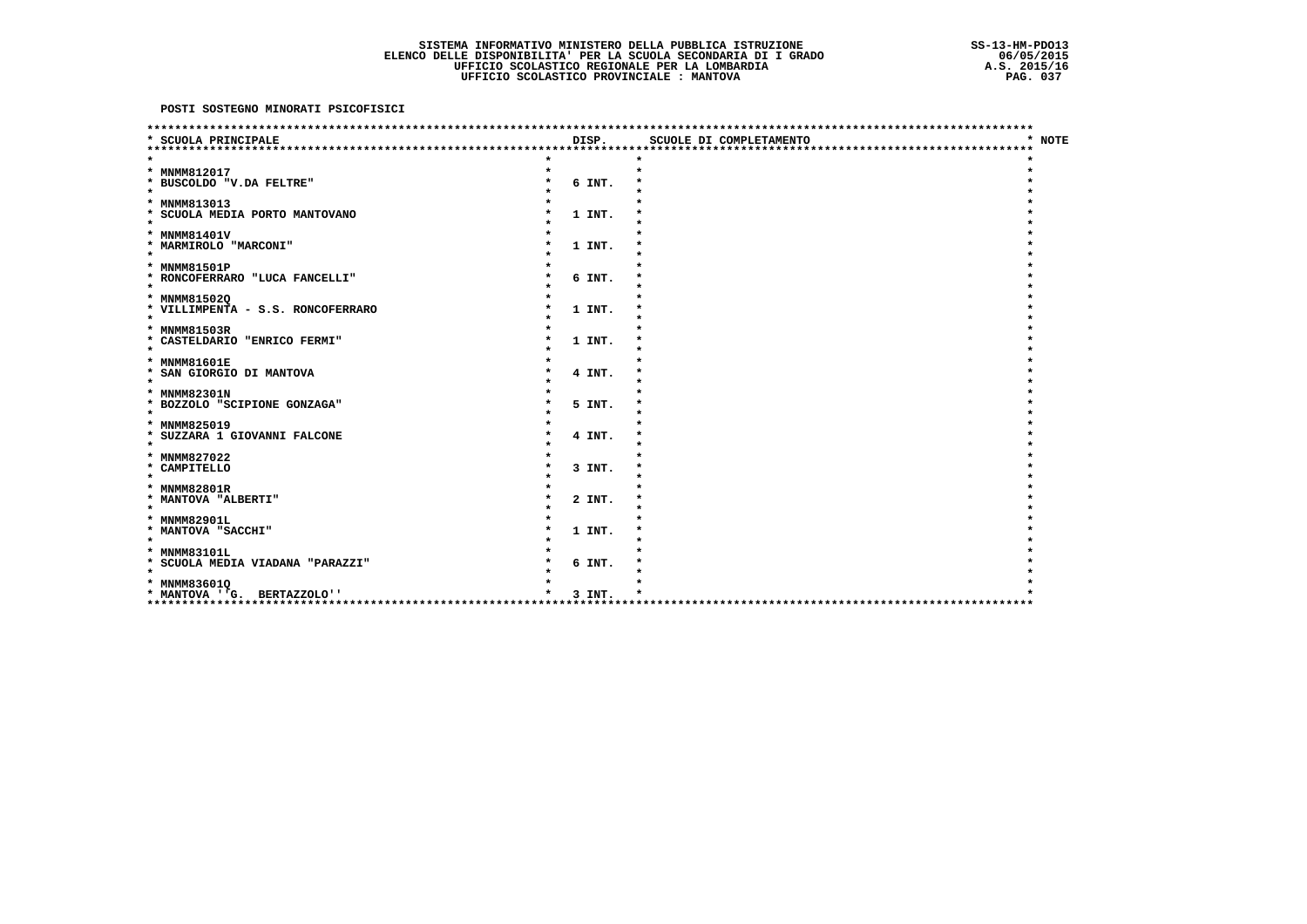| SCUOLA PRINCIPALE                         | DISP.  | SCUOLE DI COMPLETAMENTO          | * NOTE |
|-------------------------------------------|--------|----------------------------------|--------|
|                                           |        | ******************************** |        |
|                                           |        |                                  |        |
| * MNMM812017                              |        |                                  |        |
| * BUSCOLDO "V.DA FELTRE"<br>$\bullet$     | 6 INT. |                                  |        |
|                                           |        |                                  |        |
| * MNMM813013                              |        |                                  |        |
| * SCUOLA MEDIA PORTO MANTOVANO<br>$\star$ | 1 INT. |                                  |        |
| * MNMM81401V                              |        |                                  |        |
| * MARMIROLO "MARCONI"                     | 1 INT. |                                  |        |
| $\star$                                   |        |                                  |        |
| * MNMM81501P                              |        |                                  |        |
| * RONCOFERRARO "LUCA FANCELLI"            | 6 INT. |                                  |        |
| $\star$                                   |        |                                  |        |
| * MNMM81502Q                              |        |                                  |        |
| * VILLIMPENTA - S.S. RONCOFERRARO         | 1 INT. |                                  |        |
| $\star$                                   |        |                                  |        |
| * MNMM81503R                              |        |                                  |        |
| * CASTELDARIO "ENRICO FERMI"              | 1 INT. |                                  |        |
| $\star$                                   |        |                                  |        |
| * MNMM81601E                              |        |                                  |        |
| * SAN GIORGIO DI MANTOVA                  | 4 INT. |                                  |        |
| $\star$                                   |        |                                  |        |
| * MNMM82301N                              |        |                                  |        |
| * BOZZOLO "SCIPIONE GONZAGA"              | 5 INT. |                                  |        |
| $\star$                                   |        |                                  |        |
| * MNMM825019                              |        |                                  |        |
| * SUZZARA 1 GIOVANNI FALCONE<br>$\star$   | 4 INT. |                                  |        |
| * MNMM827022                              |        |                                  |        |
| * CAMPITELLO                              | 3 INT. |                                  |        |
| $\star$                                   |        |                                  |        |
| * MNMM82801R                              |        |                                  |        |
| * MANTOVA "ALBERTI"                       | 2 INT. |                                  |        |
| $\star$                                   |        |                                  |        |
| * MNMM82901L                              |        |                                  |        |
| * MANTOVA "SACCHI"                        | 1 INT. |                                  |        |
| $\star$                                   |        |                                  |        |
| * MNMM83101L                              |        |                                  |        |
| * SCUOLA MEDIA VIADANA "PARAZZI"          | 6 INT. |                                  |        |
| $\star$                                   |        |                                  |        |
| * MNMM83601Q                              |        |                                  |        |
| * MANTOVA ''G. BERTAZZOLO''               | 3 INT. |                                  |        |